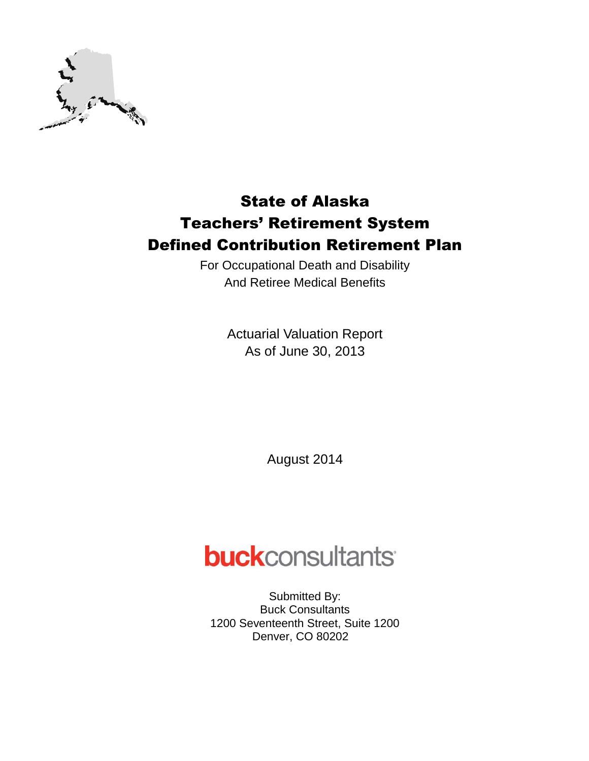

For Occupational Death and Disability And Retiree Medical Benefits

> Actuarial Valuation Report As of June 30, 2013

> > August 2014

# **buck**consultants

Submitted By: Buck Consultants 1200 Seventeenth Street, Suite 1200 Denver, CO 80202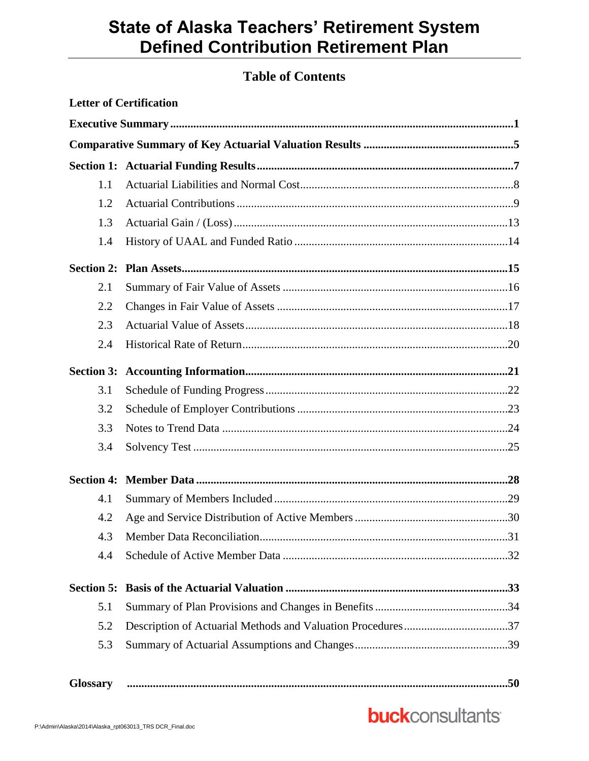## **Table of Contents**

|                   | <b>Letter of Certification</b> |  |
|-------------------|--------------------------------|--|
|                   |                                |  |
|                   |                                |  |
|                   |                                |  |
| 1.1               |                                |  |
| 1.2               |                                |  |
| 1.3               |                                |  |
| 1.4               |                                |  |
|                   |                                |  |
| 2.1               |                                |  |
| 2.2               |                                |  |
| 2.3               |                                |  |
| 2.4               |                                |  |
| <b>Section 3:</b> |                                |  |
| 3.1               |                                |  |
| 3.2               |                                |  |
| 3.3               |                                |  |
| 3.4               |                                |  |
| <b>Section 4:</b> |                                |  |
| 4.1               |                                |  |
| 4.2               |                                |  |
| 4.3               |                                |  |
| 4.4               |                                |  |
| <b>Section 5:</b> |                                |  |
| 5.1               |                                |  |
| 5.2               |                                |  |
| 5.3               |                                |  |
| <b>Glossary</b>   |                                |  |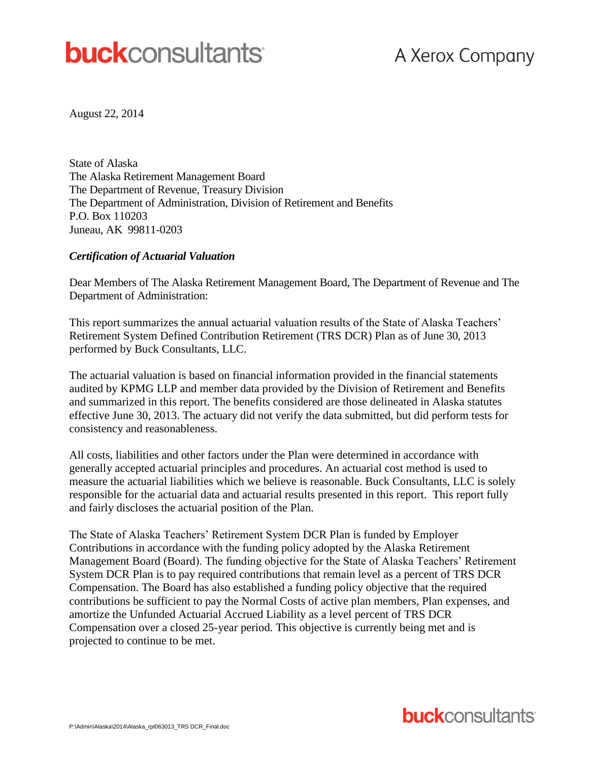# **buck**consultants

August 22, 2014

State of Alaska The Alaska Retirement Management Board The Department of Revenue, Treasury Division The Department of Administration, Division of Retirement and Benefits P.O. Box 110203 Juneau, AK 99811-0203

### *Certification of Actuarial Valuation*

Dear Members of The Alaska Retirement Management Board, The Department of Revenue and The Department of Administration:

This report summarizes the annual actuarial valuation results of the State of Alaska Teachers' Retirement System Defined Contribution Retirement (TRS DCR) Plan as of June 30, 2013 performed by Buck Consultants, LLC.

The actuarial valuation is based on financial information provided in the financial statements audited by KPMG LLP and member data provided by the Division of Retirement and Benefits and summarized in this report. The benefits considered are those delineated in Alaska statutes effective June 30, 2013. The actuary did not verify the data submitted, but did perform tests for consistency and reasonableness.

All costs, liabilities and other factors under the Plan were determined in accordance with generally accepted actuarial principles and procedures. An actuarial cost method is used to measure the actuarial liabilities which we believe is reasonable. Buck Consultants, LLC is solely responsible for the actuarial data and actuarial results presented in this report. This report fully and fairly discloses the actuarial position of the Plan.

The State of Alaska Teachers' Retirement System DCR Plan is funded by Employer Contributions in accordance with the funding policy adopted by the Alaska Retirement Management Board (Board). The funding objective for the State of Alaska Teachers' Retirement System DCR Plan is to pay required contributions that remain level as a percent of TRS DCR Compensation. The Board has also established a funding policy objective that the required contributions be sufficient to pay the Normal Costs of active plan members, Plan expenses, and amortize the Unfunded Actuarial Accrued Liability as a level percent of TRS DCR Compensation over a closed 25-year period. This objective is currently being met and is projected to continue to be met.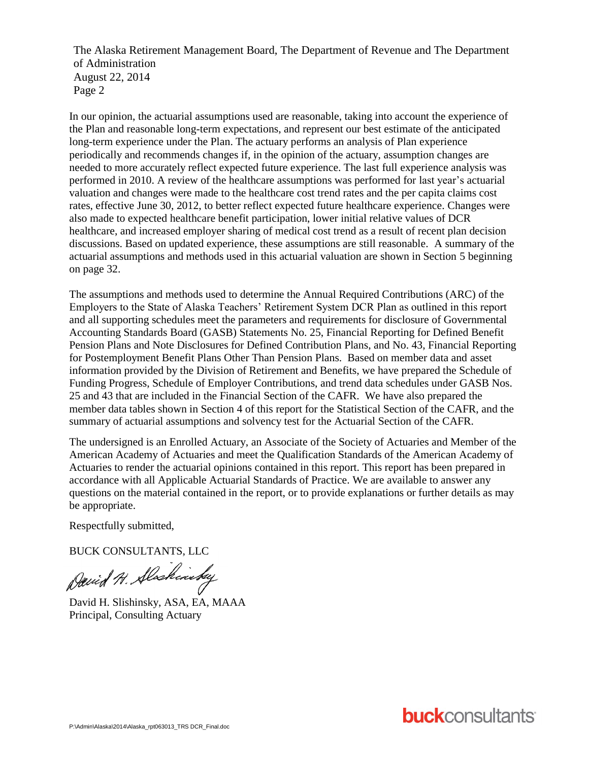The Alaska Retirement Management Board, The Department of Revenue and The Department of Administration August 22, 2014 Page 2

In our opinion, the actuarial assumptions used are reasonable, taking into account the experience of the Plan and reasonable long-term expectations, and represent our best estimate of the anticipated long-term experience under the Plan. The actuary performs an analysis of Plan experience periodically and recommends changes if, in the opinion of the actuary, assumption changes are needed to more accurately reflect expected future experience. The last full experience analysis was performed in 2010. A review of the healthcare assumptions was performed for last year's actuarial valuation and changes were made to the healthcare cost trend rates and the per capita claims cost rates, effective June 30, 2012, to better reflect expected future healthcare experience. Changes were also made to expected healthcare benefit participation, lower initial relative values of DCR healthcare, and increased employer sharing of medical cost trend as a result of recent plan decision discussions. Based on updated experience, these assumptions are still reasonable. A summary of the actuarial assumptions and methods used in this actuarial valuation are shown in Section 5 beginning on page 32.

The assumptions and methods used to determine the Annual Required Contributions (ARC) of the Employers to the State of Alaska Teachers' Retirement System DCR Plan as outlined in this report and all supporting schedules meet the parameters and requirements for disclosure of Governmental Accounting Standards Board (GASB) Statements No. 25, Financial Reporting for Defined Benefit Pension Plans and Note Disclosures for Defined Contribution Plans, and No. 43, Financial Reporting for Postemployment Benefit Plans Other Than Pension Plans. Based on member data and asset information provided by the Division of Retirement and Benefits, we have prepared the Schedule of Funding Progress, Schedule of Employer Contributions, and trend data schedules under GASB Nos. 25 and 43 that are included in the Financial Section of the CAFR. We have also prepared the member data tables shown in Section 4 of this report for the Statistical Section of the CAFR, and the summary of actuarial assumptions and solvency test for the Actuarial Section of the CAFR.

The undersigned is an Enrolled Actuary, an Associate of the Society of Actuaries and Member of the American Academy of Actuaries and meet the Qualification Standards of the American Academy of Actuaries to render the actuarial opinions contained in this report. This report has been prepared in accordance with all Applicable Actuarial Standards of Practice. We are available to answer any questions on the material contained in the report, or to provide explanations or further details as may be appropriate.

Respectfully submitted,

BUCK CONSULTANTS, LLC

David H. Alaskinsky

David H. Slishinsky, ASA, EA, MAAA Principal, Consulting Actuary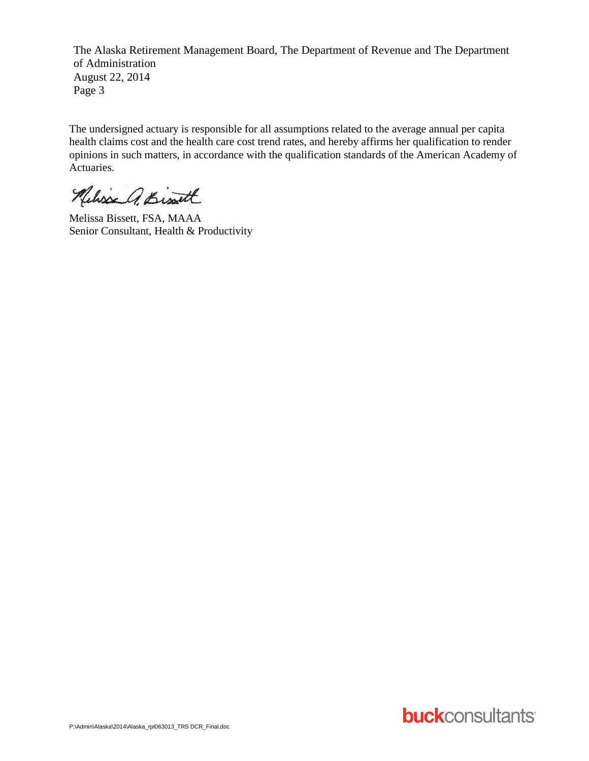The Alaska Retirement Management Board, The Department of Revenue and The Department of Administration August 22, 2014 Page 3

The undersigned actuary is responsible for all assumptions related to the average annual per capita health claims cost and the health care cost trend rates, and hereby affirms her qualification to render opinions in such matters, in accordance with the qualification standards of the American Academy of Actuaries.

Nelisse A. Bissett

Melissa Bissett, FSA, MAAA Senior Consultant, Health & Productivity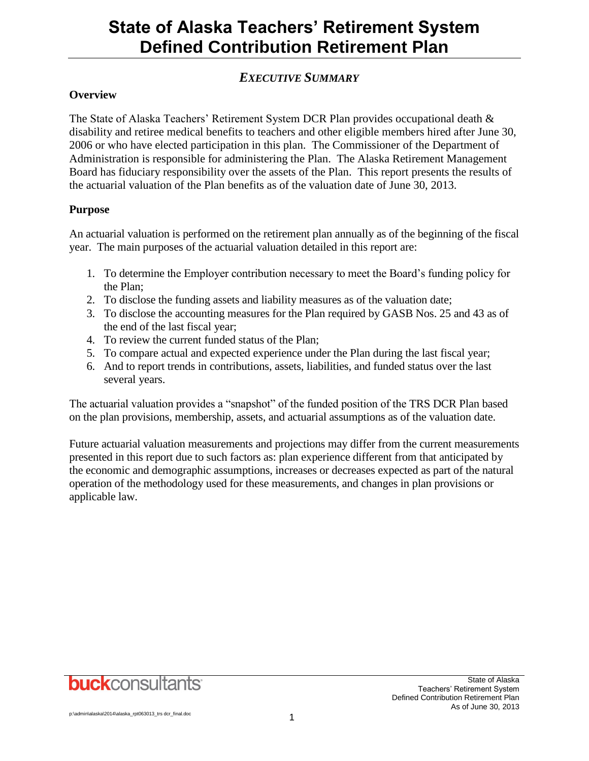## *EXECUTIVE SUMMARY*

### **Overview**

The State of Alaska Teachers' Retirement System DCR Plan provides occupational death & disability and retiree medical benefits to teachers and other eligible members hired after June 30, 2006 or who have elected participation in this plan. The Commissioner of the Department of Administration is responsible for administering the Plan. The Alaska Retirement Management Board has fiduciary responsibility over the assets of the Plan. This report presents the results of the actuarial valuation of the Plan benefits as of the valuation date of June 30, 2013.

### **Purpose**

An actuarial valuation is performed on the retirement plan annually as of the beginning of the fiscal year. The main purposes of the actuarial valuation detailed in this report are:

- 1. To determine the Employer contribution necessary to meet the Board's funding policy for the Plan;
- 2. To disclose the funding assets and liability measures as of the valuation date;
- 3. To disclose the accounting measures for the Plan required by GASB Nos. 25 and 43 as of the end of the last fiscal year;
- 4. To review the current funded status of the Plan;
- 5. To compare actual and expected experience under the Plan during the last fiscal year;
- 6. And to report trends in contributions, assets, liabilities, and funded status over the last several years.

The actuarial valuation provides a "snapshot" of the funded position of the TRS DCR Plan based on the plan provisions, membership, assets, and actuarial assumptions as of the valuation date.

Future actuarial valuation measurements and projections may differ from the current measurements presented in this report due to such factors as: plan experience different from that anticipated by the economic and demographic assumptions, increases or decreases expected as part of the natural operation of the methodology used for these measurements, and changes in plan provisions or applicable law.

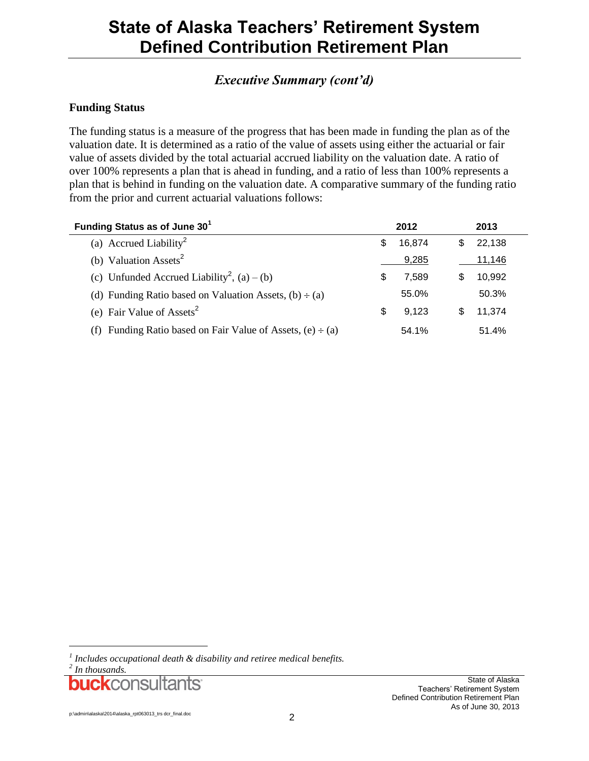## *Executive Summary (cont'd)*

### **Funding Status**

The funding status is a measure of the progress that has been made in funding the plan as of the valuation date. It is determined as a ratio of the value of assets using either the actuarial or fair value of assets divided by the total actuarial accrued liability on the valuation date. A ratio of over 100% represents a plan that is ahead in funding, and a ratio of less than 100% represents a plan that is behind in funding on the valuation date. A comparative summary of the funding ratio from the prior and current actuarial valuations follows:

| Funding Status as of June 30 <sup>1</sup>                       |   | 2012   |     | 2013   |  |
|-----------------------------------------------------------------|---|--------|-----|--------|--|
| (a) Accrued Liability <sup>2</sup>                              |   | 16.874 | \$. | 22,138 |  |
| (b) Valuation Assets <sup>2</sup>                               |   | 9,285  |     | 11,146 |  |
| (c) Unfunded Accrued Liability <sup>2</sup> , (a) – (b)         | S | 7,589  | S.  | 10,992 |  |
| (d) Funding Ratio based on Valuation Assets, $(b) \div (a)$     |   | 55.0%  |     | 50.3%  |  |
| (e) Fair Value of Assets <sup>2</sup>                           |   | 9.123  | \$. | 11,374 |  |
| (f) Funding Ratio based on Fair Value of Assets, $(e) \div (a)$ |   | 54.1%  |     | 51.4%  |  |

l

buckconsultants<sup>.</sup>

*<sup>1</sup> Includes occupational death & disability and retiree medical benefits.*

*<sup>2</sup> In thousands.*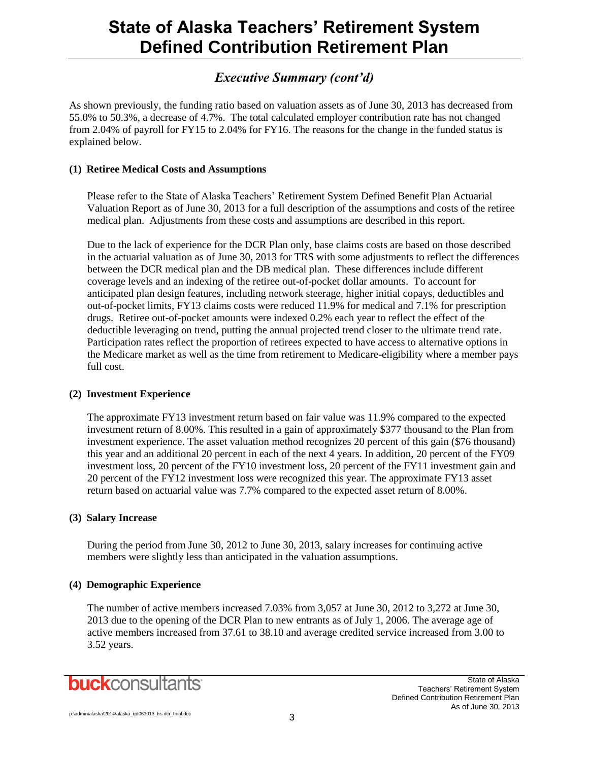## *Executive Summary (cont'd)*

As shown previously, the funding ratio based on valuation assets as of June 30, 2013 has decreased from 55.0% to 50.3%, a decrease of 4.7%. The total calculated employer contribution rate has not changed from 2.04% of payroll for FY15 to 2.04% for FY16. The reasons for the change in the funded status is explained below.

### **(1) Retiree Medical Costs and Assumptions**

Please refer to the State of Alaska Teachers' Retirement System Defined Benefit Plan Actuarial Valuation Report as of June 30, 2013 for a full description of the assumptions and costs of the retiree medical plan. Adjustments from these costs and assumptions are described in this report.

Due to the lack of experience for the DCR Plan only, base claims costs are based on those described in the actuarial valuation as of June 30, 2013 for TRS with some adjustments to reflect the differences between the DCR medical plan and the DB medical plan. These differences include different coverage levels and an indexing of the retiree out-of-pocket dollar amounts. To account for anticipated plan design features, including network steerage, higher initial copays, deductibles and out-of-pocket limits, FY13 claims costs were reduced 11.9% for medical and 7.1% for prescription drugs. Retiree out-of-pocket amounts were indexed 0.2% each year to reflect the effect of the deductible leveraging on trend, putting the annual projected trend closer to the ultimate trend rate. Participation rates reflect the proportion of retirees expected to have access to alternative options in the Medicare market as well as the time from retirement to Medicare-eligibility where a member pays full cost.

### **(2) Investment Experience**

The approximate FY13 investment return based on fair value was 11.9% compared to the expected investment return of 8.00%. This resulted in a gain of approximately \$377 thousand to the Plan from investment experience. The asset valuation method recognizes 20 percent of this gain (\$76 thousand) this year and an additional 20 percent in each of the next 4 years. In addition, 20 percent of the FY09 investment loss, 20 percent of the FY10 investment loss, 20 percent of the FY11 investment gain and 20 percent of the FY12 investment loss were recognized this year. The approximate FY13 asset return based on actuarial value was 7.7% compared to the expected asset return of 8.00%.

### **(3) Salary Increase**

During the period from June 30, 2012 to June 30, 2013, salary increases for continuing active members were slightly less than anticipated in the valuation assumptions.

### **(4) Demographic Experience**

The number of active members increased 7.03% from 3,057 at June 30, 2012 to 3,272 at June 30, 2013 due to the opening of the DCR Plan to new entrants as of July 1, 2006. The average age of active members increased from 37.61 to 38.10 and average credited service increased from 3.00 to 3.52 years.

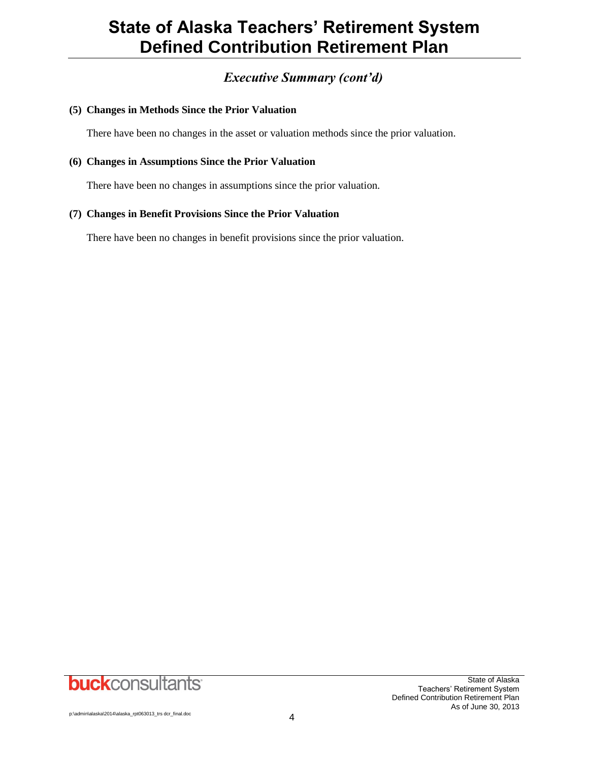## *Executive Summary (cont'd)*

### **(5) Changes in Methods Since the Prior Valuation**

There have been no changes in the asset or valuation methods since the prior valuation.

### **(6) Changes in Assumptions Since the Prior Valuation**

There have been no changes in assumptions since the prior valuation.

### **(7) Changes in Benefit Provisions Since the Prior Valuation**

There have been no changes in benefit provisions since the prior valuation.

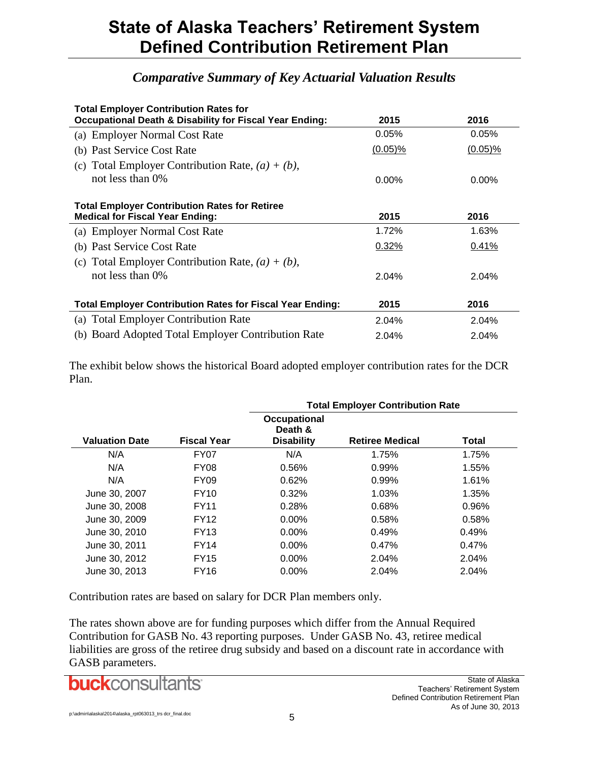## *Comparative Summary of Key Actuarial Valuation Results*

| <b>Total Employer Contribution Rates for</b>                       |            |            |  |  |  |  |  |  |
|--------------------------------------------------------------------|------------|------------|--|--|--|--|--|--|
| <b>Occupational Death &amp; Disability for Fiscal Year Ending:</b> | 2015       | 2016       |  |  |  |  |  |  |
| (a) Employer Normal Cost Rate                                      | 0.05%      | $0.05\%$   |  |  |  |  |  |  |
| (b) Past Service Cost Rate                                         | $(0.05)\%$ | $(0.05)\%$ |  |  |  |  |  |  |
| (c) Total Employer Contribution Rate, $(a) + (b)$ ,                |            |            |  |  |  |  |  |  |
| not less than 0\%                                                  | $0.00\%$   | $0.00\%$   |  |  |  |  |  |  |
| <b>Total Employer Contribution Rates for Retiree</b>               |            |            |  |  |  |  |  |  |
| <b>Medical for Fiscal Year Ending:</b>                             | 2015       | 2016       |  |  |  |  |  |  |
| (a) Employer Normal Cost Rate                                      | 1.72%      | 1.63%      |  |  |  |  |  |  |
| (b) Past Service Cost Rate                                         | 0.32%      | 0.41%      |  |  |  |  |  |  |
| (c) Total Employer Contribution Rate, $(a) + (b)$ ,                |            |            |  |  |  |  |  |  |
| not less than $0\%$                                                | 2.04%      | 2.04%      |  |  |  |  |  |  |
| <b>Total Employer Contribution Rates for Fiscal Year Ending:</b>   | 2015       | 2016       |  |  |  |  |  |  |
| (a) Total Employer Contribution Rate                               | 2.04%      | 2.04%      |  |  |  |  |  |  |
| (b) Board Adopted Total Employer Contribution Rate                 | 2.04%      | 2.04%      |  |  |  |  |  |  |

The exhibit below shows the historical Board adopted employer contribution rates for the DCR Plan.

|                       |                    | <b>Total Employer Contribution Rate</b>      |                        |       |  |  |  |  |  |
|-----------------------|--------------------|----------------------------------------------|------------------------|-------|--|--|--|--|--|
| <b>Valuation Date</b> | <b>Fiscal Year</b> | Occupational<br>Death &<br><b>Disability</b> | <b>Retiree Medical</b> | Total |  |  |  |  |  |
| N/A                   | FY07               | N/A                                          | 1.75%                  | 1.75% |  |  |  |  |  |
| N/A                   | <b>FY08</b>        | 0.56%                                        | 0.99%                  | 1.55% |  |  |  |  |  |
| N/A                   | <b>FY09</b>        | 0.62%                                        | 0.99%                  | 1.61% |  |  |  |  |  |
| June 30, 2007         | FY10               | 0.32%                                        | 1.03%                  | 1.35% |  |  |  |  |  |
| June 30, 2008         | <b>FY11</b>        | 0.28%                                        | 0.68%                  | 0.96% |  |  |  |  |  |
| June 30, 2009         | FY12               | $0.00\%$                                     | 0.58%                  | 0.58% |  |  |  |  |  |
| June 30, 2010         | FY13               | $0.00\%$                                     | 0.49%                  | 0.49% |  |  |  |  |  |
| June 30, 2011         | FY14               | $0.00\%$                                     | 0.47%                  | 0.47% |  |  |  |  |  |
| June 30, 2012         | <b>FY15</b>        | $0.00\%$                                     | 2.04%                  | 2.04% |  |  |  |  |  |
| June 30, 2013         | FY16               | $0.00\%$                                     | 2.04%                  | 2.04% |  |  |  |  |  |

Contribution rates are based on salary for DCR Plan members only.

The rates shown above are for funding purposes which differ from the Annual Required Contribution for GASB No. 43 reporting purposes. Under GASB No. 43, retiree medical liabilities are gross of the retiree drug subsidy and based on a discount rate in accordance with GASB parameters.

**buck**consultants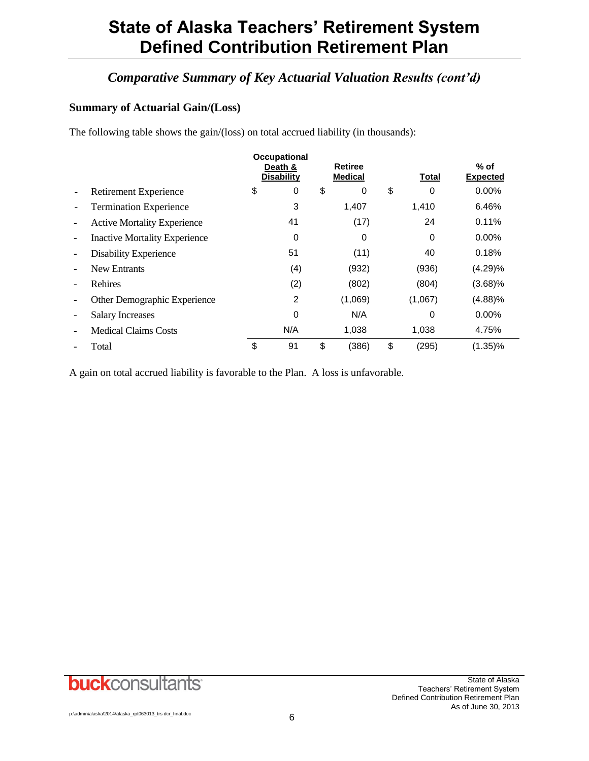## *Comparative Summary of Key Actuarial Valuation Results (cont'd)*

### **Summary of Actuarial Gain/(Loss)**

The following table shows the gain/(loss) on total accrued liability (in thousands):

|                          |                                      | <b>Occupational</b><br>Death &<br><b>Disability</b> | <b>Retiree</b><br><b>Medical</b> | Total       | $%$ of<br><b>Expected</b> |
|--------------------------|--------------------------------------|-----------------------------------------------------|----------------------------------|-------------|---------------------------|
|                          | Retirement Experience                | \$<br>0                                             | \$<br>0                          | \$<br>0     | $0.00\%$                  |
|                          | <b>Termination Experience</b>        | 3                                                   | 1,407                            | 1,410       | 6.46%                     |
| $\overline{\phantom{a}}$ | <b>Active Mortality Experience</b>   | 41                                                  | (17)                             | 24          | 0.11%                     |
| $\overline{\phantom{a}}$ | <b>Inactive Mortality Experience</b> | 0                                                   | 0                                | 0           | $0.00\%$                  |
|                          | <b>Disability Experience</b>         | 51                                                  | (11)                             | 40          | 0.18%                     |
| $\overline{\phantom{0}}$ | <b>New Entrants</b>                  | (4)                                                 | (932)                            | (936)       | (4.29)%                   |
| $\overline{\phantom{a}}$ | Rehires                              | (2)                                                 | (802)                            | (804)       | (3.68)%                   |
| $\qquad \qquad$          | Other Demographic Experience         | 2                                                   | (1,069)                          | (1,067)     | (4.88)%                   |
| $\overline{\phantom{a}}$ | <b>Salary Increases</b>              | 0                                                   | N/A                              | 0           | $0.00\%$                  |
| $\qquad \qquad$          | <b>Medical Claims Costs</b>          | N/A                                                 | 1,038                            | 1,038       | 4.75%                     |
|                          | Total                                | \$<br>91                                            | \$<br>(386)                      | \$<br>(295) | $(1.35)\%$                |

A gain on total accrued liability is favorable to the Plan. A loss is unfavorable.

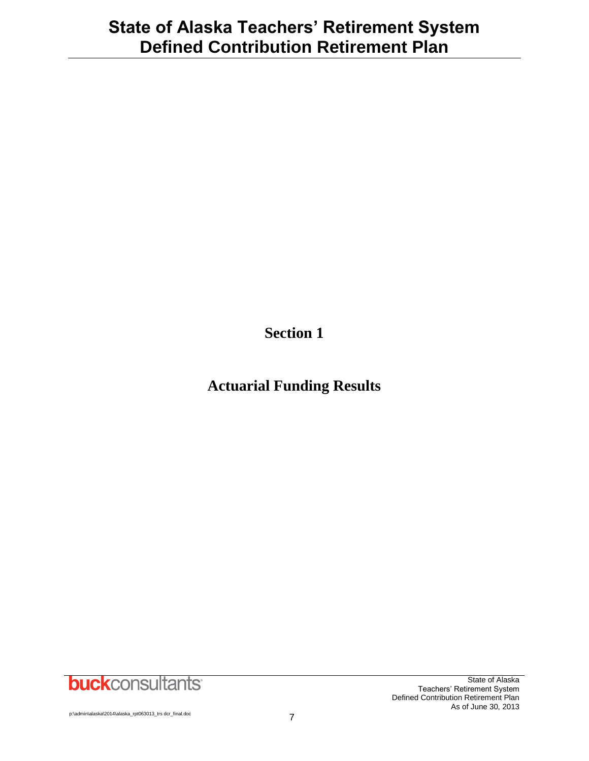**Section 1**

## **Actuarial Funding Results**

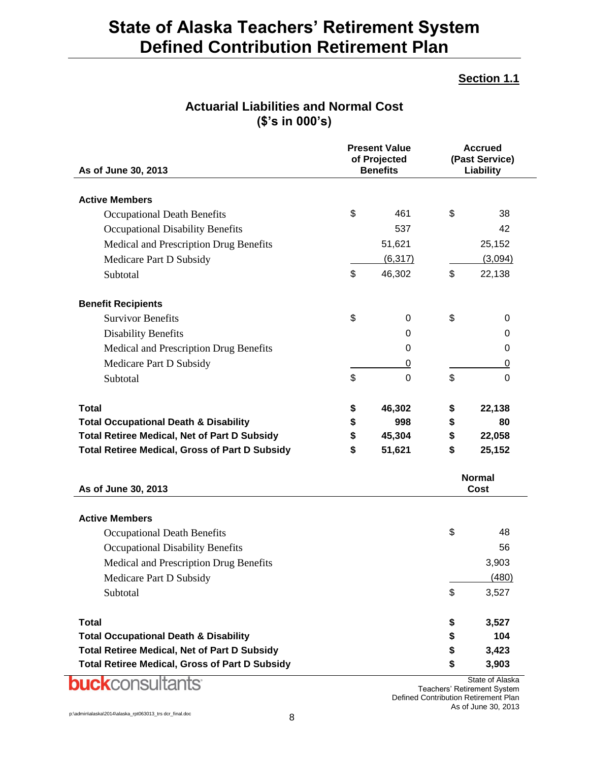### **Section 1.1**

| As of June 30, 2013                                   | <b>Present Value</b><br>of Projected<br><b>Benefits</b> |          | <b>Accrued</b><br>(Past Service)<br>Liability |  |
|-------------------------------------------------------|---------------------------------------------------------|----------|-----------------------------------------------|--|
| <b>Active Members</b>                                 |                                                         |          |                                               |  |
| <b>Occupational Death Benefits</b>                    | \$                                                      | 461      | \$<br>38                                      |  |
| <b>Occupational Disability Benefits</b>               |                                                         | 537      | 42                                            |  |
| Medical and Prescription Drug Benefits                |                                                         | 51,621   | 25,152                                        |  |
| Medicare Part D Subsidy                               |                                                         | (6, 317) | (3,094)                                       |  |
| Subtotal                                              | \$                                                      | 46,302   | \$<br>22,138                                  |  |
| <b>Benefit Recipients</b>                             |                                                         |          |                                               |  |
| <b>Survivor Benefits</b>                              | \$                                                      | 0        | \$<br>0                                       |  |
| <b>Disability Benefits</b>                            |                                                         | 0        | 0                                             |  |
| Medical and Prescription Drug Benefits                |                                                         | 0        | 0                                             |  |
| Medicare Part D Subsidy                               |                                                         | 0        | 0                                             |  |
| Subtotal                                              | \$                                                      | 0        | \$<br>0                                       |  |
| <b>Total</b>                                          | \$                                                      | 46,302   | \$<br>22,138                                  |  |
| <b>Total Occupational Death &amp; Disability</b>      | \$                                                      | 998      | \$<br>80                                      |  |
| <b>Total Retiree Medical, Net of Part D Subsidy</b>   | \$                                                      | 45,304   | \$<br>22,058                                  |  |
| <b>Total Retiree Medical, Gross of Part D Subsidy</b> | \$                                                      | 51,621   | \$<br>25,152                                  |  |
| As of June 30, 2013                                   |                                                         |          | <b>Normal</b><br>Cost                         |  |
| <b>Active Members</b>                                 |                                                         |          |                                               |  |
| <b>Occupational Death Benefits</b>                    |                                                         |          | \$<br>48                                      |  |
| <b>Occupational Disability Benefits</b>               |                                                         |          | 56                                            |  |
| Medical and Prescription Drug Benefits                |                                                         |          | 3,903                                         |  |
| Medicare Part D Subsidy                               |                                                         |          | (480)                                         |  |
| Subtotal                                              |                                                         |          | \$<br>3,527                                   |  |
| <b>Total</b>                                          |                                                         |          | \$<br>3,527                                   |  |
| <b>Total Occupational Death &amp; Disability</b>      |                                                         |          | \$<br>104                                     |  |
| <b>Total Retiree Medical, Net of Part D Subsidy</b>   |                                                         |          | \$<br>3,423                                   |  |
| <b>Total Retiree Medical, Gross of Part D Subsidy</b> |                                                         |          | \$<br>3,903                                   |  |

## **Actuarial Liabilities and Normal Cost (\$'s in 000's)**

State of Alaska Teachers' Retirement System Defined Contribution Retirement Plan As of June 30, 2013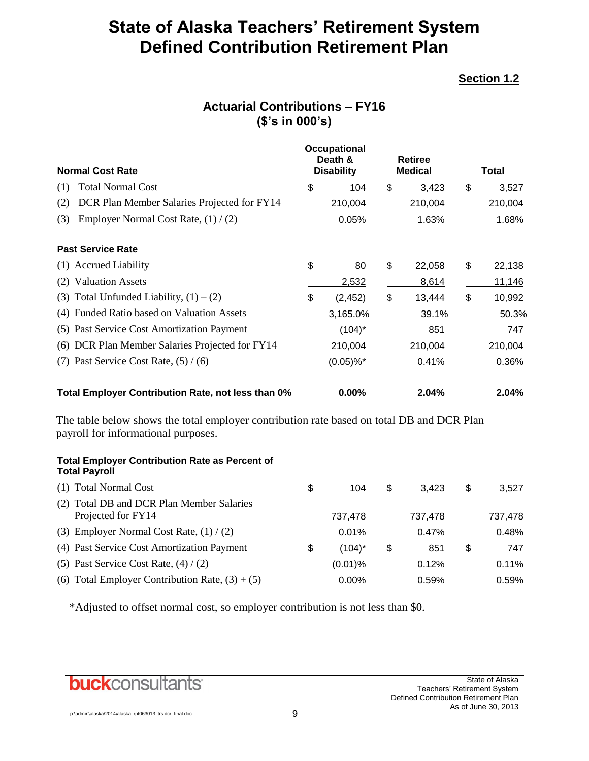## **Section 1.2**

| <b>Normal Cost Rate</b>                            | Occupational<br>Death &<br><b>Disability</b> | <b>Retiree</b><br><b>Medical</b> | Total        |
|----------------------------------------------------|----------------------------------------------|----------------------------------|--------------|
| <b>Total Normal Cost</b><br>(1)                    | \$<br>104                                    | \$<br>3,423                      | \$<br>3,527  |
| DCR Plan Member Salaries Projected for FY14<br>(2) | 210,004                                      | 210,004                          | 210,004      |
| Employer Normal Cost Rate, $(1) / (2)$<br>(3)      | 0.05%                                        | 1.63%                            | 1.68%        |
| <b>Past Service Rate</b>                           |                                              |                                  |              |
| (1) Accrued Liability                              | \$<br>80                                     | \$<br>22,058                     | \$<br>22,138 |
| <b>Valuation Assets</b><br>(2)                     | 2,532                                        | 8,614                            | 11,146       |
| Total Unfunded Liability, $(1) - (2)$<br>(3)       | \$<br>(2, 452)                               | \$<br>13,444                     | \$<br>10,992 |
| (4) Funded Ratio based on Valuation Assets         | 3,165.0%                                     | 39.1%                            | 50.3%        |
| Past Service Cost Amortization Payment<br>(5)      | $(104)^*$                                    | 851                              | 747          |
| DCR Plan Member Salaries Projected for FY14<br>(6) | 210,004                                      | 210,004                          | 210,004      |
| (7) Past Service Cost Rate, $(5) / (6)$            | $(0.05)\%$ <sup>*</sup>                      | 0.41%                            | 0.36%        |
| Total Employer Contribution Rate, not less than 0% | $0.00\%$                                     | 2.04%                            | 2.04%        |

## **Actuarial Contributions – FY16 (\$'s in 000's)**

The table below shows the total employer contribution rate based on total DB and DCR Plan payroll for informational purposes.

### **Total Employer Contribution Rate as Percent of Total Payroll**

| (1) Total Normal Cost                                           | S  | 104        | \$<br>3.423 | \$<br>3,527 |  |
|-----------------------------------------------------------------|----|------------|-------------|-------------|--|
| (2) Total DB and DCR Plan Member Salaries<br>Projected for FY14 |    | 737,478    | 737,478     | 737,478     |  |
| (3) Employer Normal Cost Rate, $(1) / (2)$                      |    | 0.01%      | 0.47%       | 0.48%       |  |
| (4) Past Service Cost Amortization Payment                      | \$ | $(104)^*$  | \$<br>851   | \$<br>747   |  |
| (5) Past Service Cost Rate, $(4) / (2)$                         |    | $(0.01)$ % | 0.12%       | 0.11%       |  |
| (6) Total Employer Contribution Rate, $(3) + (5)$               |    | 0.00%      | 0.59%       | 0.59%       |  |
|                                                                 |    |            |             |             |  |

\*Adjusted to offset normal cost, so employer contribution is not less than \$0.

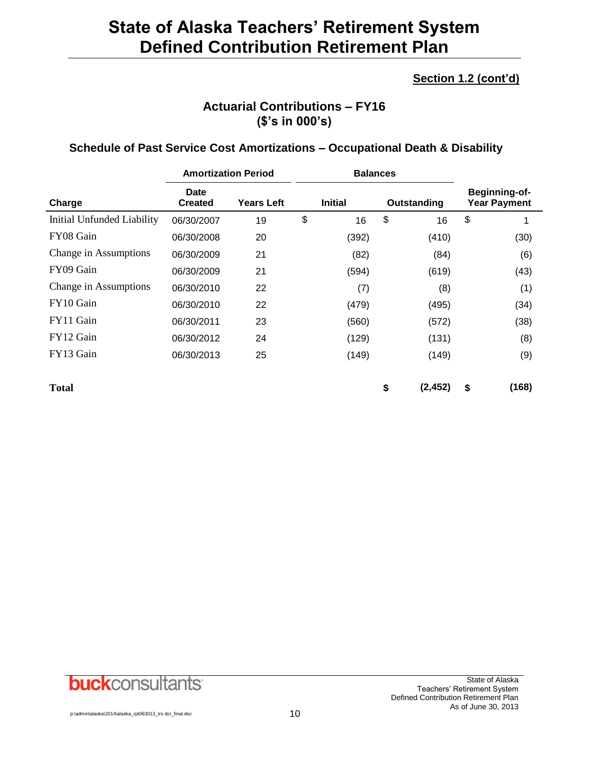## **Section 1.2 (cont'd)**

## **Actuarial Contributions – FY16 (\$'s in 000's)**

### **Schedule of Past Service Cost Amortizations – Occupational Death & Disability**

|                            | <b>Amortization Period</b> |                   | <b>Balances</b> |                |    |             |    |                                             |
|----------------------------|----------------------------|-------------------|-----------------|----------------|----|-------------|----|---------------------------------------------|
| Charge                     | Date<br><b>Created</b>     | <b>Years Left</b> |                 | <b>Initial</b> |    | Outstanding |    | <b>Beginning-of-</b><br><b>Year Payment</b> |
| Initial Unfunded Liability | 06/30/2007                 | 19                | \$              | 16             | \$ | 16          | \$ | 1                                           |
| FY08 Gain                  | 06/30/2008                 | 20                |                 | (392)          |    | (410)       |    | (30)                                        |
| Change in Assumptions      | 06/30/2009                 | 21                |                 | (82)           |    | (84)        |    | (6)                                         |
| FY09 Gain                  | 06/30/2009                 | 21                |                 | (594)          |    | (619)       |    | (43)                                        |
| Change in Assumptions      | 06/30/2010                 | 22                |                 | (7)            |    | (8)         |    | (1)                                         |
| FY10 Gain                  | 06/30/2010                 | 22                |                 | (479)          |    | (495)       |    | (34)                                        |
| FY11 Gain                  | 06/30/2011                 | 23                |                 | (560)          |    | (572)       |    | (38)                                        |
| FY12 Gain                  | 06/30/2012                 | 24                |                 | (129)          |    | (131)       |    | (8)                                         |
| FY13 Gain                  | 06/30/2013                 | 25                |                 | (149)          |    | (149)       |    | (9)                                         |
| <b>Total</b>               |                            |                   |                 |                | \$ | (2, 452)    | \$ | (168)                                       |

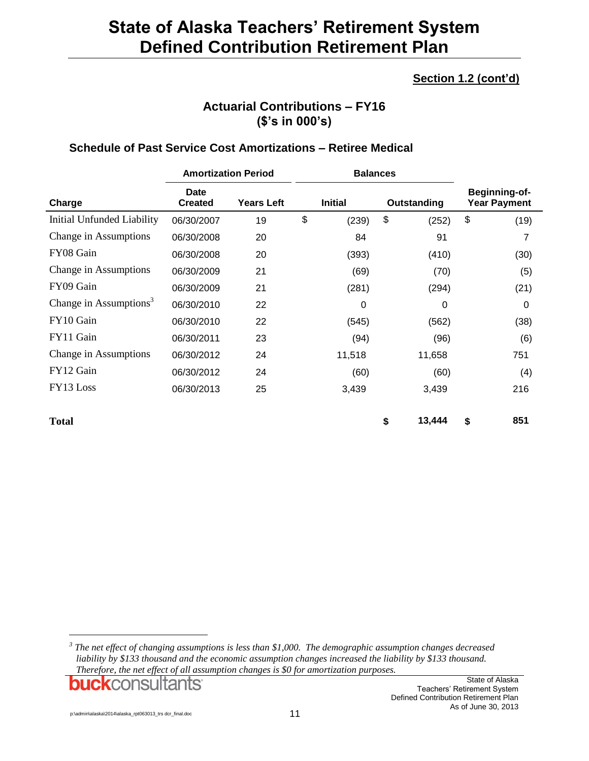## **Section 1.2 (cont'd)**

## **Actuarial Contributions – FY16 (\$'s in 000's)**

### **Schedule of Past Service Cost Amortizations – Retiree Medical**

|                                    | <b>Amortization Period</b>                                    |    |    | <b>Balances</b> |                                             |    |      |
|------------------------------------|---------------------------------------------------------------|----|----|-----------------|---------------------------------------------|----|------|
| Charge                             | Date<br><b>Years Left</b><br><b>Initial</b><br><b>Created</b> |    |    | Outstanding     | <b>Beginning-of-</b><br><b>Year Payment</b> |    |      |
| Initial Unfunded Liability         | 06/30/2007                                                    | 19 | \$ | (239)           | \$<br>(252)                                 | \$ | (19) |
| Change in Assumptions              | 06/30/2008                                                    | 20 |    | 84              | 91                                          |    | 7    |
| FY08 Gain                          | 06/30/2008                                                    | 20 |    | (393)           | (410)                                       |    | (30) |
| Change in Assumptions              | 06/30/2009                                                    | 21 |    | (69)            | (70)                                        |    | (5)  |
| FY09 Gain                          | 06/30/2009                                                    | 21 |    | (281)           | (294)                                       |    | (21) |
| Change in Assumptions <sup>3</sup> | 06/30/2010                                                    | 22 |    | 0               | 0                                           |    | 0    |
| FY10 Gain                          | 06/30/2010                                                    | 22 |    | (545)           | (562)                                       |    | (38) |
| FY11 Gain                          | 06/30/2011                                                    | 23 |    | (94)            | (96)                                        |    | (6)  |
| Change in Assumptions              | 06/30/2012                                                    | 24 |    | 11,518          | 11,658                                      |    | 751  |
| FY12 Gain                          | 06/30/2012                                                    | 24 |    | (60)            | (60)                                        |    | (4)  |
| FY13 Loss                          | 06/30/2013                                                    | 25 |    | 3,439           | 3,439                                       |    | 216  |
| <b>Total</b>                       |                                                               |    |    |                 | \$<br>13,444                                | \$ | 851  |

*3 The net effect of changing assumptions is less than \$1,000. The demographic assumption changes decreased liability by \$133 thousand and the economic assumption changes increased the liability by \$133 thousand. Therefore, the net effect of all assumption changes is \$0 for amortization purposes.*

**buck**consultants

l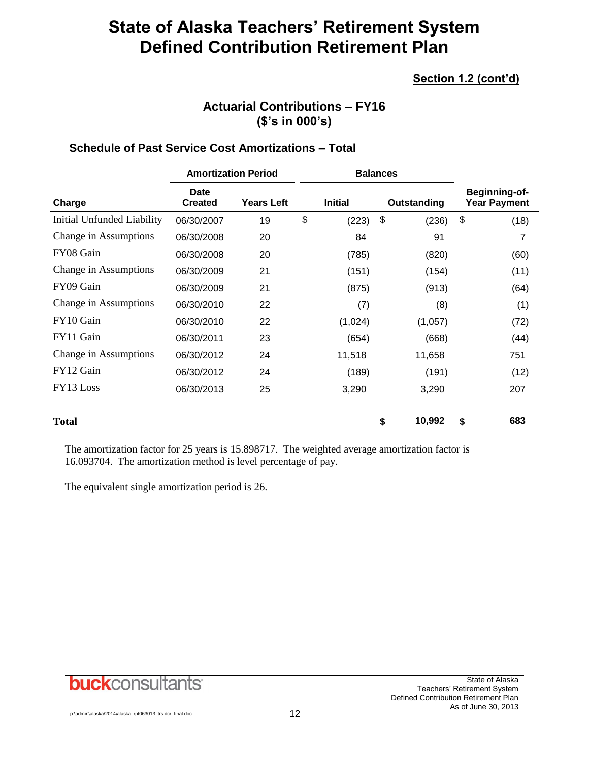## **Section 1.2 (cont'd)**

## **Actuarial Contributions – FY16 (\$'s in 000's)**

### **Schedule of Past Service Cost Amortizations – Total**

|                            | <b>Amortization Period</b>    |                   |    | <b>Balances</b> |              |                                      |
|----------------------------|-------------------------------|-------------------|----|-----------------|--------------|--------------------------------------|
| Charge                     | <b>Date</b><br><b>Created</b> | <b>Years Left</b> |    | <b>Initial</b>  | Outstanding  | Beginning-of-<br><b>Year Payment</b> |
| Initial Unfunded Liability | 06/30/2007                    | 19                | \$ | (223)           | \$<br>(236)  | \$<br>(18)                           |
| Change in Assumptions      | 06/30/2008                    | 20                |    | 84              | 91           |                                      |
| FY08 Gain                  | 06/30/2008                    | 20                |    | (785)           | (820)        | (60)                                 |
| Change in Assumptions      | 06/30/2009                    | 21                |    | (151)           | (154)        | (11)                                 |
| FY09 Gain                  | 06/30/2009                    | 21                |    | (875)           | (913)        | (64)                                 |
| Change in Assumptions      | 06/30/2010                    | 22                |    | (7)             | (8)          | (1)                                  |
| FY10 Gain                  | 06/30/2010                    | 22                |    | (1,024)         | (1,057)      | (72)                                 |
| FY11 Gain                  | 06/30/2011                    | 23                |    | (654)           | (668)        | (44)                                 |
| Change in Assumptions      | 06/30/2012                    | 24                |    | 11,518          | 11,658       | 751                                  |
| FY12 Gain                  | 06/30/2012                    | 24                |    | (189)           | (191)        | (12)                                 |
| FY13 Loss                  | 06/30/2013                    | 25                |    | 3,290           | 3,290        | 207                                  |
| <b>Total</b>               |                               |                   |    |                 | \$<br>10,992 | \$<br>683                            |

The amortization factor for 25 years is 15.898717. The weighted average amortization factor is 16.093704. The amortization method is level percentage of pay.

The equivalent single amortization period is 26.

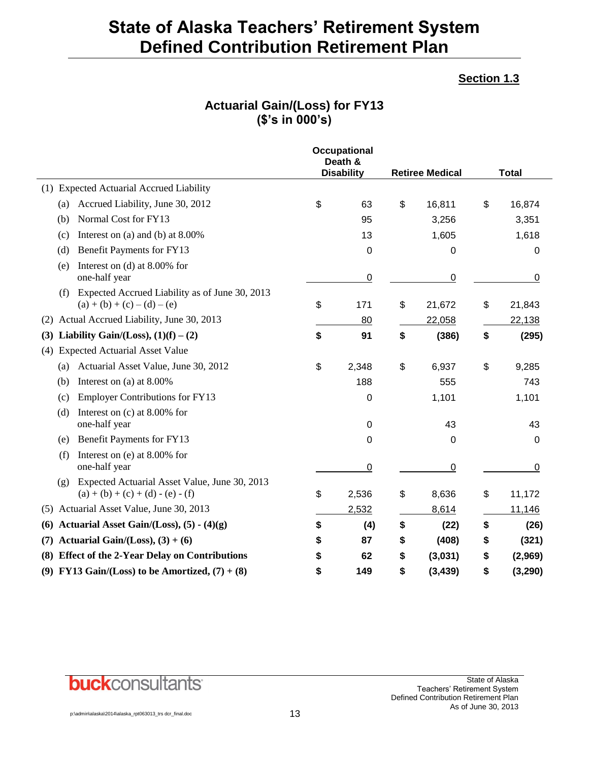### **Section 1.3**

## **Actuarial Gain/(Loss) for FY13 (\$'s in 000's)**

|                                                                                             | <b>Occupational</b><br>Death &<br><b>Disability</b> | <b>Retiree Medical</b> | <b>Total</b>   |
|---------------------------------------------------------------------------------------------|-----------------------------------------------------|------------------------|----------------|
| (1) Expected Actuarial Accrued Liability                                                    |                                                     |                        |                |
| Accrued Liability, June 30, 2012<br>(a)                                                     | \$<br>63                                            | \$<br>16,811           | \$<br>16,874   |
| Normal Cost for FY13<br>(b)                                                                 | 95                                                  | 3,256                  | 3,351          |
| Interest on (a) and (b) at $8.00\%$<br>(c)                                                  | 13                                                  | 1,605                  | 1,618          |
| Benefit Payments for FY13<br>(d)                                                            | 0                                                   | 0                      | 0              |
| Interest on (d) at $8.00\%$ for<br>(e)<br>one-half year                                     | $\overline{0}$                                      | 0                      | 0              |
| Expected Accrued Liability as of June 30, 2013<br>(f)<br>$(a) + (b) + (c) - (d) - (e)$      | \$<br>171                                           | \$<br>21,672           | \$<br>21,843   |
| Actual Accrued Liability, June 30, 2013<br>(2)                                              | 80                                                  | 22,058                 | 22,138         |
| Liability Gain/(Loss), $(1)(f) - (2)$<br>(3)                                                | \$<br>91                                            | \$<br>(386)            | \$<br>(295)    |
| <b>Expected Actuarial Asset Value</b><br>(4)                                                |                                                     |                        |                |
| Actuarial Asset Value, June 30, 2012<br>(a)                                                 | \$<br>2,348                                         | \$<br>6,937            | \$<br>9,285    |
| Interest on (a) at 8.00%<br>(b)                                                             | 188                                                 | 555                    | 743            |
| <b>Employer Contributions for FY13</b><br>(c)                                               | 0                                                   | 1,101                  | 1,101          |
| (d)<br>Interest on $(c)$ at 8.00% for<br>one-half year                                      | 0                                                   | 43                     | 43             |
| Benefit Payments for FY13<br>(e)                                                            | 0                                                   | 0                      | 0              |
| Interest on (e) at 8.00% for<br>(f)<br>one-half year                                        | $\overline{0}$                                      | $\overline{0}$         | 0              |
| Expected Actuarial Asset Value, June 30, 2013<br>(g)<br>$(a) + (b) + (c) + (d) - (e) - (f)$ | \$<br>2,536                                         | \$<br>8,636            | \$<br>11,172   |
| Actuarial Asset Value, June 30, 2013<br>(5)                                                 | 2,532                                               | 8,614                  | 11,146         |
| Actuarial Asset Gain/(Loss), $(5) - (4)(g)$<br>(6)                                          | \$<br>(4)                                           | \$<br>(22)             | \$<br>(26)     |
| Actuarial Gain/(Loss), $(3) + (6)$<br>(7)                                                   | \$<br>87                                            | \$<br>(408)            | \$<br>(321)    |
| <b>Effect of the 2-Year Delay on Contributions</b><br>(8)                                   | \$<br>62                                            | \$<br>(3,031)          | \$<br>(2,969)  |
| (9) FY13 Gain/(Loss) to be Amortized, $(7) + (8)$                                           | \$<br>149                                           | \$<br>(3, 439)         | \$<br>(3, 290) |

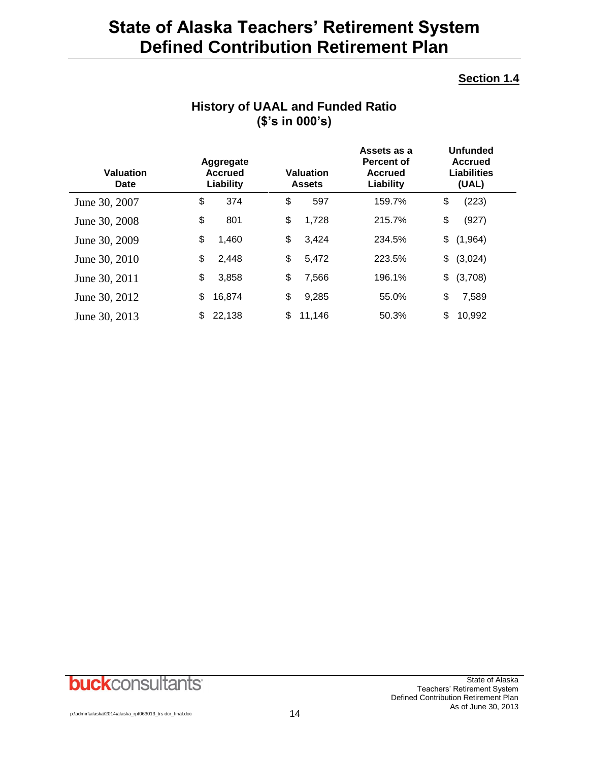### **Section 1.4**

| <b>Valuation</b><br>Date | Aggregate<br><b>Accrued</b><br>Liability | Valuation<br><b>Assets</b> | Assets as a<br><b>Percent of</b><br><b>Accrued</b><br>Liability | <b>Unfunded</b><br>Accrued<br>Liabilities<br>(UAL) |
|--------------------------|------------------------------------------|----------------------------|-----------------------------------------------------------------|----------------------------------------------------|
| June 30, 2007            | \$<br>374                                | \$<br>597                  | 159.7%                                                          | \$<br>(223)                                        |
| June 30, 2008            | \$<br>801                                | \$<br>1,728                | 215.7%                                                          | \$<br>(927)                                        |
| June 30, 2009            | \$<br>1,460                              | \$<br>3,424                | 234.5%                                                          | (1,964)<br>\$                                      |
| June 30, 2010            | \$<br>2,448                              | \$<br>5,472                | 223.5%                                                          | (3,024)<br>\$                                      |
| June 30, 2011            | \$<br>3,858                              | \$<br>7,566                | 196.1%                                                          | (3,708)<br>\$                                      |
| June 30, 2012            | \$<br>16,874                             | \$<br>9,285                | 55.0%                                                           | \$<br>7,589                                        |
| June 30, 2013            | 22,138<br>\$                             | \$<br>11,146               | 50.3%                                                           | \$<br>10,992                                       |

## **History of UAAL and Funded Ratio (\$'s in 000's)**

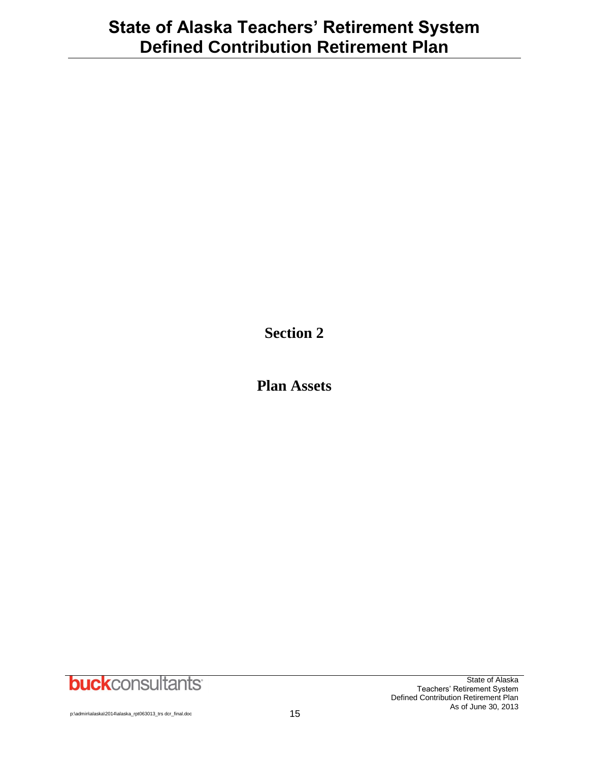**Section 2**

**Plan Assets**

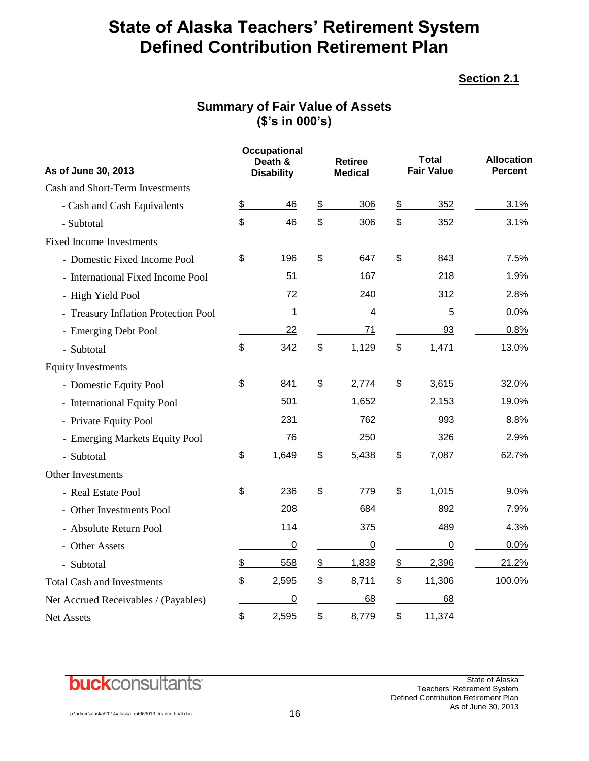### **Section 2.1**

## **Summary of Fair Value of Assets (\$'s in 000's)**

|                                      |               | <b>Occupational</b><br>Death & |               | <b>Retiree</b> |               | Total<br><b>Fair Value</b> | <b>Allocation</b> |
|--------------------------------------|---------------|--------------------------------|---------------|----------------|---------------|----------------------------|-------------------|
| As of June 30, 2013                  |               | <b>Disability</b>              |               | <b>Medical</b> |               |                            | <b>Percent</b>    |
| Cash and Short-Term Investments      |               |                                |               |                |               |                            |                   |
| - Cash and Cash Equivalents          | $\frac{2}{3}$ | 46                             | $\frac{1}{2}$ | 306            | \$            | 352                        | 3.1%              |
| - Subtotal                           | \$            | 46                             | \$            | 306            | \$            | 352                        | 3.1%              |
| <b>Fixed Income Investments</b>      |               |                                |               |                |               |                            |                   |
| - Domestic Fixed Income Pool         | \$            | 196                            | \$            | 647            | \$            | 843                        | 7.5%              |
| - International Fixed Income Pool    |               | 51                             |               | 167            |               | 218                        | 1.9%              |
| - High Yield Pool                    |               | 72                             |               | 240            |               | 312                        | 2.8%              |
| - Treasury Inflation Protection Pool |               | 1                              |               | $\overline{4}$ |               | 5                          | 0.0%              |
| - Emerging Debt Pool                 |               | 22                             |               | 71             |               | <u>93</u>                  | 0.8%              |
| - Subtotal                           | \$            | 342                            | \$            | 1,129          | \$            | 1,471                      | 13.0%             |
| <b>Equity Investments</b>            |               |                                |               |                |               |                            |                   |
| - Domestic Equity Pool               | \$            | 841                            | \$            | 2,774          | \$            | 3,615                      | 32.0%             |
| - International Equity Pool          |               | 501                            |               | 1,652          |               | 2,153                      | 19.0%             |
| - Private Equity Pool                |               | 231                            |               | 762            |               | 993                        | 8.8%              |
| - Emerging Markets Equity Pool       |               | 76                             |               | 250            |               | 326                        | 2.9%              |
| - Subtotal                           | \$            | 1,649                          | \$            | 5,438          | \$            | 7,087                      | 62.7%             |
| Other Investments                    |               |                                |               |                |               |                            |                   |
| - Real Estate Pool                   | \$            | 236                            | \$            | 779            | \$            | 1,015                      | 9.0%              |
| - Other Investments Pool             |               | 208                            |               | 684            |               | 892                        | 7.9%              |
| - Absolute Return Pool               |               | 114                            |               | 375            |               | 489                        | 4.3%              |
| - Other Assets                       |               | $\overline{0}$                 |               | $\overline{0}$ |               | $\overline{0}$             | 0.0%              |
| - Subtotal                           | \$            | 558                            | $\frac{1}{2}$ | 1,838          | $\frac{1}{2}$ | 2,396                      | 21.2%             |
| <b>Total Cash and Investments</b>    | \$            | 2,595                          | \$            | 8,711          | \$            | 11,306                     | 100.0%            |
| Net Accrued Receivables / (Payables) |               | 0                              |               | 68             |               | 68                         |                   |
| Net Assets                           | \$            | 2,595                          | \$            | 8,779          | \$            | 11,374                     |                   |

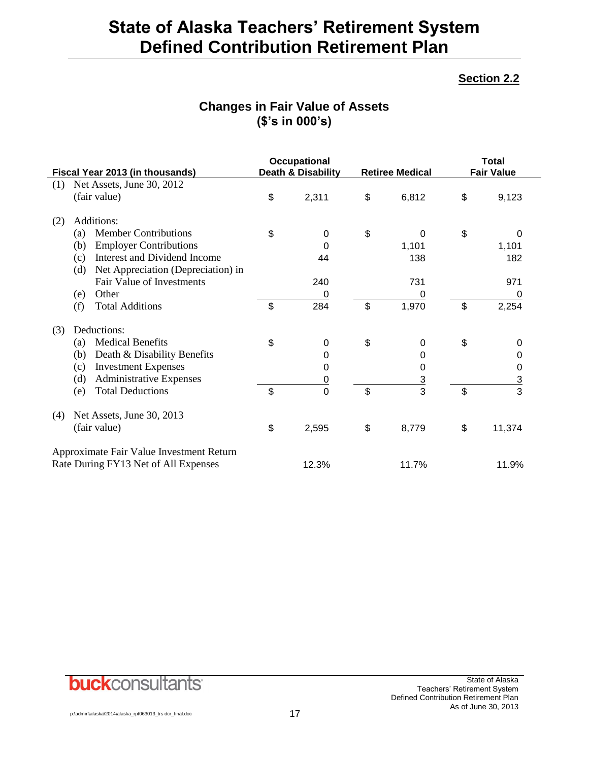### **Section 2.2**

## **Changes in Fair Value of Assets (\$'s in 000's)**

|     | Fiscal Year 2013 (in thousands)                                                  | <b>Occupational</b><br>Death & Disability |                           | <b>Retiree Medical</b> | <b>Total</b><br><b>Fair Value</b> |               |  |
|-----|----------------------------------------------------------------------------------|-------------------------------------------|---------------------------|------------------------|-----------------------------------|---------------|--|
| (1) | Net Assets, June 30, 2012                                                        |                                           |                           |                        |                                   |               |  |
|     | (fair value)                                                                     | \$<br>2,311                               | \$                        | 6,812                  | \$                                | 9,123         |  |
| (2) | Additions:                                                                       |                                           |                           |                        |                                   |               |  |
|     | <b>Member Contributions</b><br>(a)                                               | \$<br>0                                   | \$                        | 0                      | \$                                | 0             |  |
|     | <b>Employer Contributions</b><br>(b)                                             | 0                                         |                           | 1,101                  |                                   | 1,101         |  |
|     | Interest and Dividend Income<br>(c)                                              | 44                                        |                           | 138                    |                                   | 182           |  |
|     | Net Appreciation (Depreciation) in<br>(d)                                        |                                           |                           |                        |                                   |               |  |
|     | Fair Value of Investments                                                        | 240                                       |                           | 731                    |                                   | 971           |  |
|     | Other<br>(e)                                                                     | 0                                         |                           | 0                      |                                   | 0             |  |
|     | (f)<br><b>Total Additions</b>                                                    | \$<br>284                                 | $\boldsymbol{\mathsf{S}}$ | 1,970                  | $\mathfrak{S}$                    | 2,254         |  |
| (3) | Deductions:                                                                      |                                           |                           |                        |                                   |               |  |
|     | <b>Medical Benefits</b><br>(a)                                                   | \$<br>0                                   | \$                        | 0                      | \$                                | 0             |  |
|     | Death & Disability Benefits<br>(b)                                               | 0                                         |                           | 0                      |                                   | 0             |  |
|     | <b>Investment Expenses</b><br>(c)                                                | 0                                         |                           | 0                      |                                   | 0             |  |
|     | <b>Administrative Expenses</b><br>(d)                                            | <u>0</u>                                  |                           | $\overline{3}$         |                                   |               |  |
|     | <b>Total Deductions</b><br>(e)                                                   | \$<br>$\overline{0}$                      | \$                        | $\overline{3}$         | \$                                | $\frac{3}{3}$ |  |
| (4) | Net Assets, June 30, 2013                                                        |                                           |                           |                        |                                   |               |  |
|     | (fair value)                                                                     | \$<br>2,595                               | \$                        | 8,779                  | \$                                | 11,374        |  |
|     | Approximate Fair Value Investment Return<br>Rate During FY13 Net of All Expenses | 12.3%                                     |                           | 11.7%                  |                                   | 11.9%         |  |
|     |                                                                                  |                                           |                           |                        |                                   |               |  |

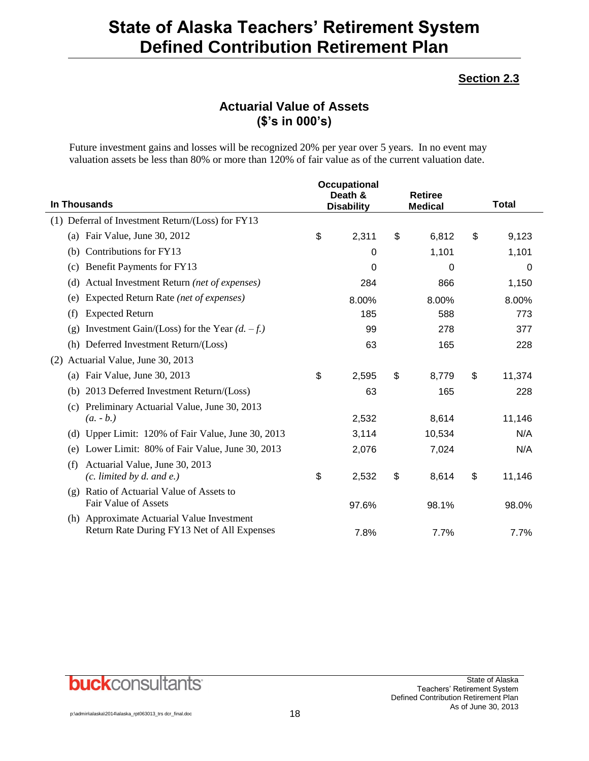### **Section 2.3**

## **Actuarial Value of Assets (\$'s in 000's)**

Future investment gains and losses will be recognized 20% per year over 5 years. In no event may valuation assets be less than 80% or more than 120% of fair value as of the current valuation date.

|                                                                                           | Occupational |                              |    |                                  |              |
|-------------------------------------------------------------------------------------------|--------------|------------------------------|----|----------------------------------|--------------|
| <b>In Thousands</b>                                                                       |              | Death &<br><b>Disability</b> |    | <b>Retiree</b><br><b>Medical</b> | <b>Total</b> |
| Deferral of Investment Return/(Loss) for FY13<br>(1)                                      |              |                              |    |                                  |              |
| (a) Fair Value, June 30, 2012                                                             | \$           | 2,311                        | \$ | 6,812                            | \$<br>9,123  |
| Contributions for FY13<br>(b)                                                             |              | 0                            |    | 1,101                            | 1,101        |
| Benefit Payments for FY13<br>(c)                                                          |              | 0                            |    | 0                                | 0            |
| Actual Investment Return (net of expenses)<br>(d)                                         |              | 284                          |    | 866                              | 1,150        |
| Expected Return Rate (net of expenses)<br>(e)                                             |              | 8.00%                        |    | 8.00%                            | 8.00%        |
| <b>Expected Return</b><br>(f)                                                             |              | 185                          |    | 588                              | 773          |
| Investment Gain/(Loss) for the Year $(d. -f.)$<br>(g)                                     |              | 99                           |    | 278                              | 377          |
| (h) Deferred Investment Return/(Loss)                                                     |              | 63                           |    | 165                              | 228          |
| Actuarial Value, June 30, 2013<br>(2)                                                     |              |                              |    |                                  |              |
| Fair Value, June 30, 2013<br>(a)                                                          | \$           | 2,595                        | \$ | 8,779                            | \$<br>11,374 |
| 2013 Deferred Investment Return/(Loss)<br>(b)                                             |              | 63                           |    | 165                              | 228          |
| Preliminary Actuarial Value, June 30, 2013<br>(c)<br>$(a. - b.)$                          |              |                              |    | 8,614                            |              |
|                                                                                           |              | 2,532                        |    |                                  | 11,146       |
| Upper Limit: 120% of Fair Value, June 30, 2013<br>(d)                                     |              | 3,114                        |    | 10,534                           | N/A          |
| Lower Limit: 80% of Fair Value, June 30, 2013<br>(e)                                      |              | 2,076                        |    | 7,024                            | N/A          |
| Actuarial Value, June 30, 2013<br>(f)<br>$(c.$ limited by $d.$ and $e.$ )                 | \$           | 2,532                        | \$ | 8,614                            | \$<br>11,146 |
| Ratio of Actuarial Value of Assets to<br>(g)                                              |              |                              |    |                                  |              |
| <b>Fair Value of Assets</b>                                                               |              | 97.6%                        |    | 98.1%                            | 98.0%        |
| (h) Approximate Actuarial Value Investment<br>Return Rate During FY13 Net of All Expenses |              | 7.8%                         |    | 7.7%                             | 7.7%         |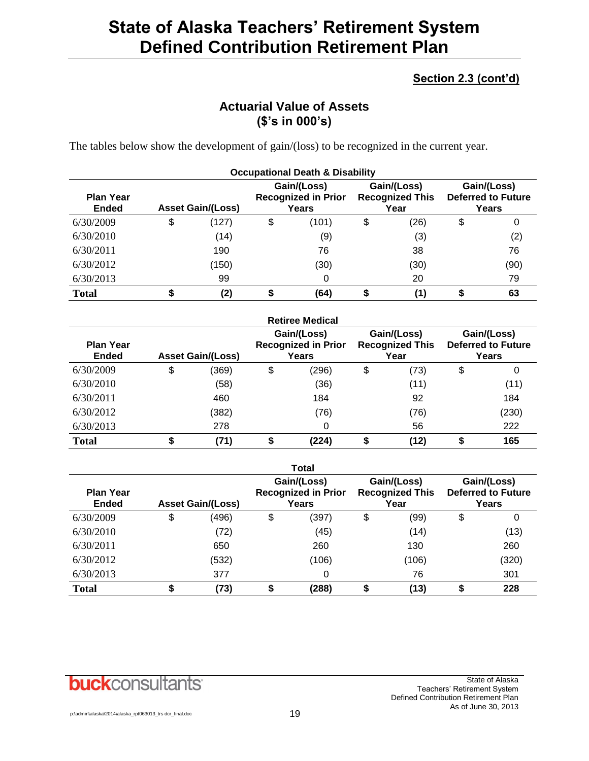## **Section 2.3 (cont'd)**

## **Actuarial Value of Assets (\$'s in 000's)**

The tables below show the development of gain/(loss) to be recognized in the current year.

| <b>Occupational Death &amp; Disability</b> |    |                                                                                |    |       |    |                                               |                                                   |      |  |
|--------------------------------------------|----|--------------------------------------------------------------------------------|----|-------|----|-----------------------------------------------|---------------------------------------------------|------|--|
| <b>Plan Year</b><br><b>Ended</b>           |    | Gain/(Loss)<br><b>Recognized in Prior</b><br><b>Asset Gain/(Loss)</b><br>Years |    |       |    | Gain/(Loss)<br><b>Recognized This</b><br>Year | Gain/(Loss)<br><b>Deferred to Future</b><br>Years |      |  |
| 6/30/2009                                  | \$ | (127)                                                                          | \$ | (101) | \$ | (26)                                          | \$                                                | 0    |  |
| 6/30/2010                                  |    | (14)                                                                           |    | (9)   |    | (3)                                           |                                                   | (2)  |  |
| 6/30/2011                                  |    | 190                                                                            |    | 76    |    | 38                                            |                                                   | 76   |  |
| 6/30/2012                                  |    | (150)                                                                          |    | (30)  |    | (30)                                          |                                                   | (90) |  |
| 6/30/2013                                  |    | 99                                                                             |    | 0     |    | 20                                            |                                                   | 79   |  |
| <b>Total</b>                               | จ  | (2)                                                                            | \$ | (64)  |    | (1)                                           |                                                   | 63   |  |

|                                  |                          |       |                                                    | <b>Retiree Medical</b> |                                               |                                                   |       |
|----------------------------------|--------------------------|-------|----------------------------------------------------|------------------------|-----------------------------------------------|---------------------------------------------------|-------|
| <b>Plan Year</b><br><b>Ended</b> | <b>Asset Gain/(Loss)</b> |       | Gain/(Loss)<br><b>Recognized in Prior</b><br>Years |                        | Gain/(Loss)<br><b>Recognized This</b><br>Year | Gain/(Loss)<br><b>Deferred to Future</b><br>Years |       |
| 6/30/2009                        | \$                       | (369) | \$                                                 | (296)                  | \$<br>(73)                                    | \$                                                | 0     |
| 6/30/2010                        |                          | (58)  |                                                    | (36)                   | (11)                                          |                                                   | (11)  |
| 6/30/2011                        |                          | 460   |                                                    | 184                    | 92                                            |                                                   | 184   |
| 6/30/2012                        |                          | (382) |                                                    | (76)                   | (76)                                          |                                                   | (230) |
| 6/30/2013                        |                          | 278   |                                                    | 0                      | 56                                            |                                                   | 222   |
| <b>Total</b>                     | \$                       | (71)  | \$                                                 | (224)                  | (12)                                          |                                                   | 165   |

|                                  |                          |    | <b>Total</b>                                       |    |                                               |                                                   |       |
|----------------------------------|--------------------------|----|----------------------------------------------------|----|-----------------------------------------------|---------------------------------------------------|-------|
| <b>Plan Year</b><br><b>Ended</b> | <b>Asset Gain/(Loss)</b> |    | Gain/(Loss)<br><b>Recognized in Prior</b><br>Years |    | Gain/(Loss)<br><b>Recognized This</b><br>Year | Gain/(Loss)<br><b>Deferred to Future</b><br>Years |       |
| 6/30/2009                        | \$<br>(496)              | \$ | (397)                                              | \$ | (99)                                          | \$                                                | 0     |
| 6/30/2010                        | (72)                     |    | (45)                                               |    | (14)                                          |                                                   | (13)  |
| 6/30/2011                        | 650                      |    | 260                                                |    | 130                                           |                                                   | 260   |
| 6/30/2012                        | (532)                    |    | (106)                                              |    | (106)                                         |                                                   | (320) |
| 6/30/2013                        | 377                      |    | 0                                                  |    | 76                                            |                                                   | 301   |
| <b>Total</b>                     | \$<br>(73)               | \$ | (288)                                              | \$ | (13)                                          | \$                                                | 228   |

## **buck**consultants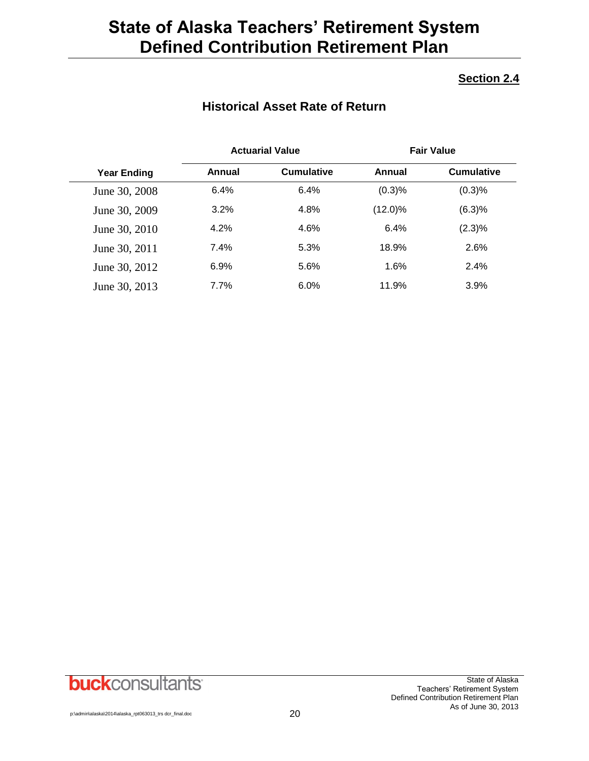## **Section 2.4**

## **Historical Asset Rate of Return**

|                    | <b>Actuarial Value</b> |                   |            | <b>Fair Value</b> |
|--------------------|------------------------|-------------------|------------|-------------------|
| <b>Year Ending</b> | Annual                 | <b>Cumulative</b> | Annual     | <b>Cumulative</b> |
| June 30, 2008      | 6.4%                   | 6.4%              | (0.3)%     | (0.3)%            |
| June 30, 2009      | 3.2%                   | 4.8%              | $(12.0)\%$ | (6.3)%            |
| June 30, 2010      | 4.2%                   | 4.6%              | 6.4%       | (2.3)%            |
| June 30, 2011      | 7.4%                   | 5.3%              | 18.9%      | 2.6%              |
| June 30, 2012      | 6.9%                   | 5.6%              | 1.6%       | 2.4%              |
| June 30, 2013      | 7.7%                   | $6.0\%$           | 11.9%      | 3.9%              |

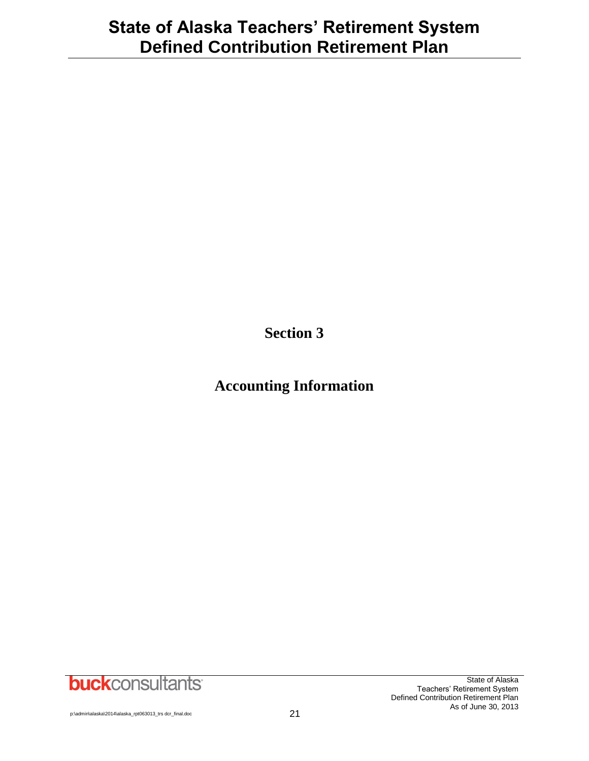**Section 3**

## **Accounting Information**

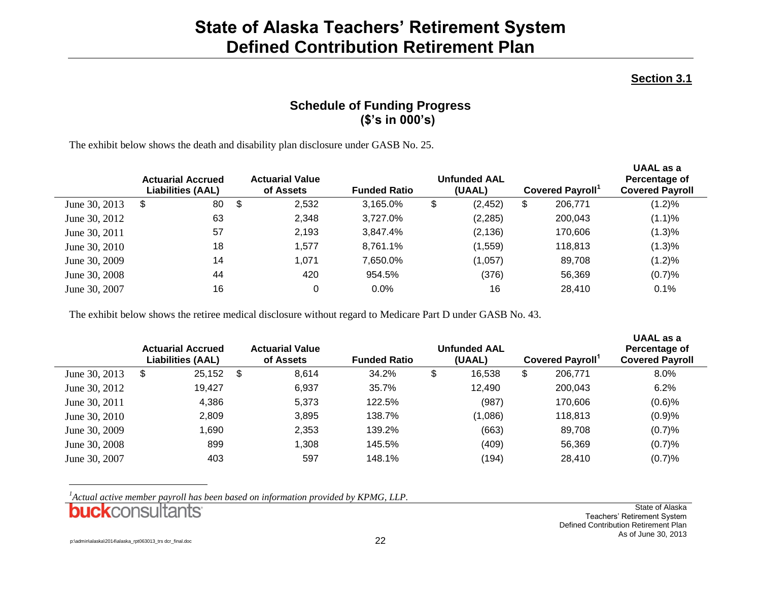### **Section 3.1**

## **Schedule of Funding Progress (\$'s in 000's)**

The exhibit below shows the death and disability plan disclosure under GASB No. 25.

|               | <b>Actuarial Accrued</b><br><b>Liabilities (AAL)</b> | <b>Actuarial Value</b><br>of Assets | <b>Funded Ratio</b> | <b>Unfunded AAL</b><br>(UAAL) | <b>Covered Payroll</b> | UAAL as a<br>Percentage of<br><b>Covered Payroll</b> |
|---------------|------------------------------------------------------|-------------------------------------|---------------------|-------------------------------|------------------------|------------------------------------------------------|
| June 30, 2013 | 80<br>\$                                             | \$<br>2,532                         | 3,165.0%            | \$<br>(2, 452)                | \$<br>206,771          | $(1.2)\%$                                            |
| June 30, 2012 | 63                                                   | 2,348                               | 3,727.0%            | (2, 285)                      | 200,043                | (1.1)%                                               |
| June 30, 2011 | 57                                                   | 2,193                               | 3.847.4%            | (2, 136)                      | 170,606                | (1.3)%                                               |
| June 30, 2010 | 18                                                   | 1,577                               | 8.761.1%            | (1, 559)                      | 118,813                | (1.3)%                                               |
| June 30, 2009 | 14                                                   | 1,071                               | 7.650.0%            | (1,057)                       | 89,708                 | (1.2)%                                               |
| June 30, 2008 | 44                                                   | 420                                 | 954.5%              | (376)                         | 56,369                 | (0.7)%                                               |
| June 30, 2007 | 16                                                   |                                     | $0.0\%$             | 16                            | 28,410                 | 0.1%                                                 |

The exhibit below shows the retiree medical disclosure without regard to Medicare Part D under GASB No. 43.

|               | <b>Actuarial Accrued</b><br><b>Liabilities (AAL)</b> |      | <b>Actuarial Value</b><br>of Assets | <b>Funded Ratio</b> | <b>Unfunded AAL</b><br>(UAAL) | <b>Covered Payroll</b> | UAAL as a<br>Percentage of<br><b>Covered Payroll</b> |
|---------------|------------------------------------------------------|------|-------------------------------------|---------------------|-------------------------------|------------------------|------------------------------------------------------|
| June 30, 2013 | 25,152<br>\$                                         | - \$ | 8,614                               | 34.2%               | \$<br>16,538                  | \$<br>206,771          | 8.0%                                                 |
| June 30, 2012 | 19,427                                               |      | 6,937                               | 35.7%               | 12,490                        | 200,043                | 6.2%                                                 |
| June 30, 2011 | 4,386                                                |      | 5.373                               | 122.5%              | (987)                         | 170,606                | $(0.6)$ %                                            |
| June 30, 2010 | 2,809                                                |      | 3,895                               | 138.7%              | (1,086)                       | 118,813                | (0.9)%                                               |
| June 30, 2009 | .690 ،                                               |      | 2,353                               | 139.2%              | (663)                         | 89,708                 | (0.7)%                                               |
| June 30, 2008 | 899                                                  |      | 1,308                               | 145.5%              | (409)                         | 56,369                 | (0.7)%                                               |
| June 30, 2007 | 403                                                  |      | 597                                 | 148.1%              | (194)                         | 28,410                 | (0.7)%                                               |

*<sup>1</sup>Actual active member payroll has been based on information provided by KPMG, LLP.* 

**buck**consultants

State of Alaska Teachers' Retirement System Defined Contribution Retirement Plan As of June 30, 2013

l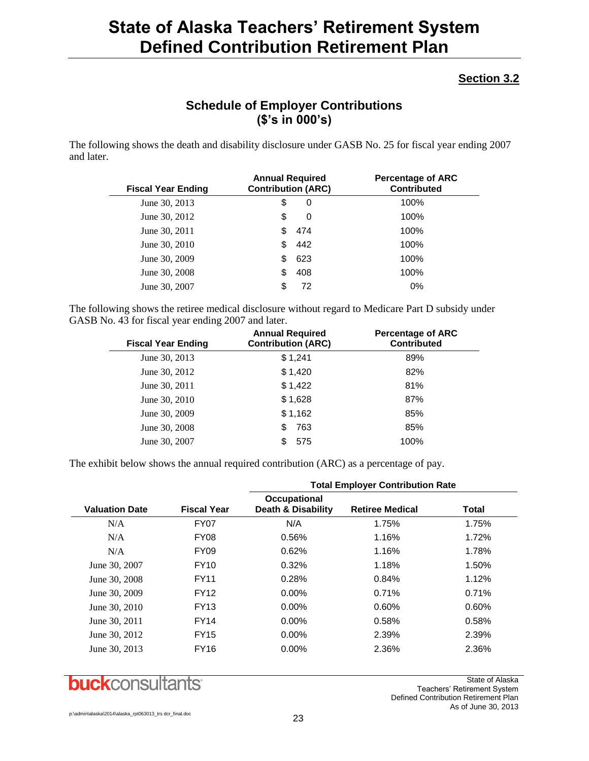## **Section 3.2**

## **Schedule of Employer Contributions (\$'s in 000's)**

The following shows the death and disability disclosure under GASB No. 25 for fiscal year ending 2007 and later.

| <b>Fiscal Year Ending</b> | <b>Annual Required</b><br><b>Contribution (ARC)</b> |     | <b>Percentage of ARC</b><br><b>Contributed</b> |
|---------------------------|-----------------------------------------------------|-----|------------------------------------------------|
| June 30, 2013             | \$                                                  | 0   | 100%                                           |
| June 30, 2012             | \$                                                  | 0   | 100%                                           |
| June 30, 2011             | S                                                   | 474 | 100%                                           |
| June 30, 2010             | S                                                   | 442 | 100%                                           |
| June 30, 2009             | S                                                   | 623 | 100%                                           |
| June 30, 2008             | S                                                   | 408 | 100%                                           |
| June 30, 2007             |                                                     | 72  | 0%                                             |

The following shows the retiree medical disclosure without regard to Medicare Part D subsidy under GASB No. 43 for fiscal year ending 2007 and later.

| <b>Fiscal Year Ending</b> | <b>Annual Required</b><br><b>Contribution (ARC)</b> | <b>Percentage of ARC</b><br><b>Contributed</b> |
|---------------------------|-----------------------------------------------------|------------------------------------------------|
| June 30, 2013             | \$1,241                                             | 89%                                            |
| June 30, 2012             | \$1,420                                             | 82%                                            |
| June 30, 2011             | \$1,422                                             | 81%                                            |
| June 30, 2010             | \$1,628                                             | 87%                                            |
| June 30, 2009             | \$1,162                                             | 85%                                            |
| June 30, 2008             | 763<br>\$                                           | 85%                                            |
| June 30, 2007             | 575                                                 | 100%                                           |

The exhibit below shows the annual required contribution (ARC) as a percentage of pay.

|                       |                    | <b>Total Employer Contribution Rate</b>       |                        |       |  |  |  |
|-----------------------|--------------------|-----------------------------------------------|------------------------|-------|--|--|--|
| <b>Valuation Date</b> | <b>Fiscal Year</b> | Occupational<br><b>Death &amp; Disability</b> | <b>Retiree Medical</b> | Total |  |  |  |
| N/A                   | <b>FY07</b>        | N/A                                           | 1.75%                  | 1.75% |  |  |  |
| N/A                   | <b>FY08</b>        | 0.56%                                         | 1.16%                  | 1.72% |  |  |  |
| N/A                   | <b>FY09</b>        | 0.62%                                         | 1.16%                  | 1.78% |  |  |  |
| June 30, 2007         | <b>FY10</b>        | 0.32%                                         | 1.18%                  | 1.50% |  |  |  |
| June 30, 2008         | <b>FY11</b>        | 0.28%                                         | 0.84%                  | 1.12% |  |  |  |
| June 30, 2009         | <b>FY12</b>        | $0.00\%$                                      | 0.71%                  | 0.71% |  |  |  |
| June 30, 2010         | <b>FY13</b>        | $0.00\%$                                      | 0.60%                  | 0.60% |  |  |  |
| June 30, 2011         | <b>FY14</b>        | $0.00\%$                                      | 0.58%                  | 0.58% |  |  |  |
| June 30, 2012         | <b>FY15</b>        | $0.00\%$                                      | 2.39%                  | 2.39% |  |  |  |
| June 30, 2013         | <b>FY16</b>        | $0.00\%$                                      | 2.36%                  | 2.36% |  |  |  |



State of Alaska Teachers' Retirement System Defined Contribution Retirement Plan As of June 30, 2013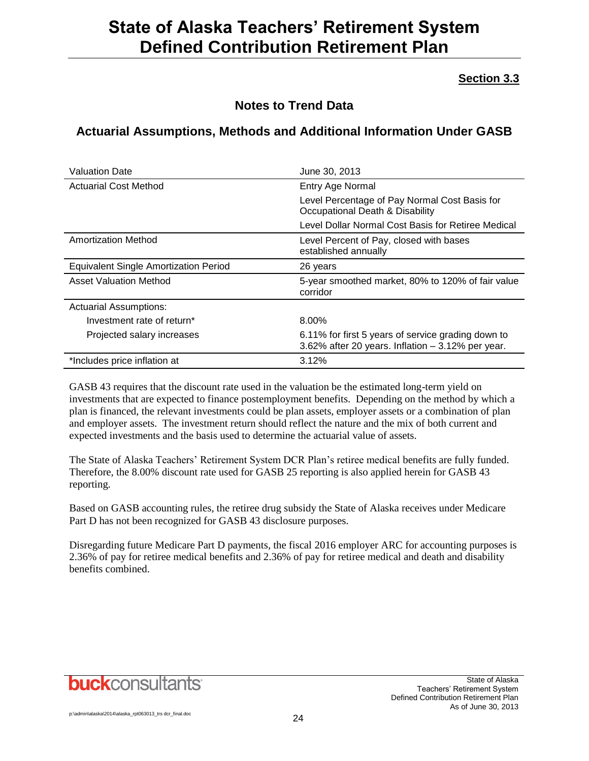## **Section 3.3**

## **Notes to Trend Data**

## **Actuarial Assumptions, Methods and Additional Information Under GASB**

| <b>Valuation Date</b>                        | June 30, 2013                                                                                           |
|----------------------------------------------|---------------------------------------------------------------------------------------------------------|
| <b>Actuarial Cost Method</b>                 | Entry Age Normal                                                                                        |
|                                              | Level Percentage of Pay Normal Cost Basis for<br>Occupational Death & Disability                        |
|                                              | Level Dollar Normal Cost Basis for Retiree Medical                                                      |
| <b>Amortization Method</b>                   | Level Percent of Pay, closed with bases<br>established annually                                         |
| <b>Equivalent Single Amortization Period</b> | 26 years                                                                                                |
| <b>Asset Valuation Method</b>                | 5-year smoothed market, 80% to 120% of fair value<br>corridor                                           |
| <b>Actuarial Assumptions:</b>                |                                                                                                         |
| Investment rate of return*                   | 8.00%                                                                                                   |
| Projected salary increases                   | 6.11% for first 5 years of service grading down to<br>3.62% after 20 years. Inflation - 3.12% per year. |
| *Includes price inflation at                 | 3.12%                                                                                                   |

GASB 43 requires that the discount rate used in the valuation be the estimated long-term yield on investments that are expected to finance postemployment benefits. Depending on the method by which a plan is financed, the relevant investments could be plan assets, employer assets or a combination of plan and employer assets. The investment return should reflect the nature and the mix of both current and expected investments and the basis used to determine the actuarial value of assets.

The State of Alaska Teachers' Retirement System DCR Plan's retiree medical benefits are fully funded. Therefore, the 8.00% discount rate used for GASB 25 reporting is also applied herein for GASB 43 reporting.

Based on GASB accounting rules, the retiree drug subsidy the State of Alaska receives under Medicare Part D has not been recognized for GASB 43 disclosure purposes.

Disregarding future Medicare Part D payments, the fiscal 2016 employer ARC for accounting purposes is 2.36% of pay for retiree medical benefits and 2.36% of pay for retiree medical and death and disability benefits combined.

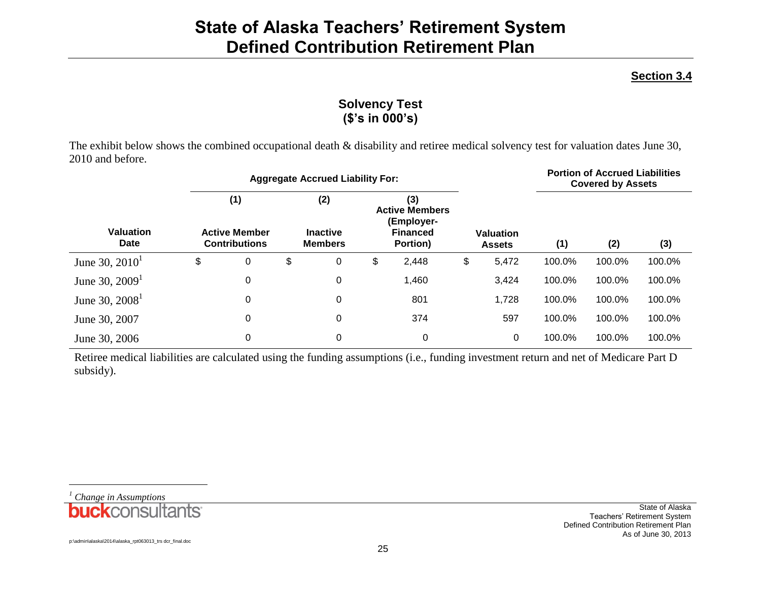### **Section 3.4**

## **Solvency Test (\$'s in 000's)**

The exhibit below shows the combined occupational death & disability and retiree medical solvency test for valuation dates June 30, 2010 and before.

|                                 |                                                     | <b>Aggregate Accrued Liability For:</b> |    |                                                 |    |                                                                    |                                   |       | <b>Portion of Accrued Liabilities</b><br><b>Covered by Assets</b> |        |        |  |
|---------------------------------|-----------------------------------------------------|-----------------------------------------|----|-------------------------------------------------|----|--------------------------------------------------------------------|-----------------------------------|-------|-------------------------------------------------------------------|--------|--------|--|
| <b>Valuation</b><br><b>Date</b> | (1)<br><b>Active Member</b><br><b>Contributions</b> |                                         |    | (2)<br>(3)<br><b>Inactive</b><br><b>Members</b> |    | <b>Active Members</b><br>(Employer-<br><b>Financed</b><br>Portion) | <b>Valuation</b><br><b>Assets</b> |       | (1)                                                               | (2)    | (3)    |  |
| June 30, $2010^1$               | \$                                                  | 0                                       | \$ | 0                                               | \$ | 2,448                                                              | \$                                | 5,472 | 100.0%                                                            | 100.0% | 100.0% |  |
| June 30, $20091$                |                                                     | 0                                       |    | 0                                               |    | 1,460                                                              |                                   | 3,424 | 100.0%                                                            | 100.0% | 100.0% |  |
| June 30, $2008^1$               |                                                     | 0                                       |    | $\mathbf 0$                                     |    | 801                                                                |                                   | 1,728 | 100.0%                                                            | 100.0% | 100.0% |  |
| June 30, 2007                   |                                                     | 0                                       |    | $\mathbf 0$                                     |    | 374                                                                |                                   | 597   | 100.0%                                                            | 100.0% | 100.0% |  |
| June 30, 2006                   |                                                     | 0                                       |    | $\mathbf 0$                                     |    | 0                                                                  |                                   | 0     | 100.0%                                                            | 100.0% | 100.0% |  |

Retiree medical liabilities are calculated using the funding assumptions (i.e., funding investment return and net of Medicare Part D subsidy).

*<sup>1</sup> Change in Assumptions***buck**consultants

l

State of Alaska Teachers' Retirement System Defined Contribution Retirement Plan As of June 30, 2013

p:\admin\alaska\2014\alaska\_rpt063013\_trs dcr\_final.doc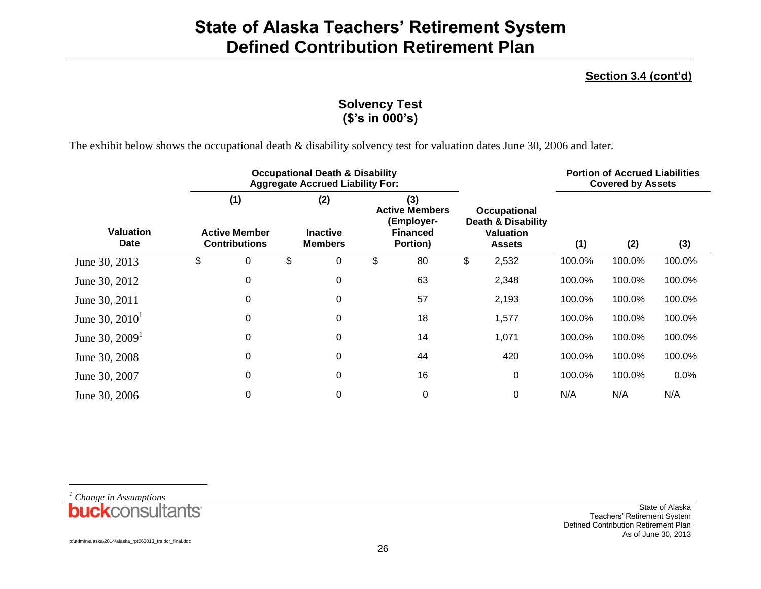### **Section 3.4 (cont'd)**

## **Solvency Test (\$'s in 000's)**

The exhibit below shows the occupational death & disability solvency test for valuation dates June 30, 2006 and later.

|                                 |                                                     |   | <b>Occupational Death &amp; Disability</b><br><b>Aggregate Accrued Liability For:</b> |                                                                           |    |                                                                                | <b>Portion of Accrued Liabilities</b><br><b>Covered by Assets</b> |        |        |        |
|---------------------------------|-----------------------------------------------------|---|---------------------------------------------------------------------------------------|---------------------------------------------------------------------------|----|--------------------------------------------------------------------------------|-------------------------------------------------------------------|--------|--------|--------|
| <b>Valuation</b><br><b>Date</b> | (1)<br><b>Active Member</b><br><b>Contributions</b> |   | (2)<br><b>Inactive</b><br><b>Members</b>                                              | (3)<br><b>Active Members</b><br>(Employer-<br><b>Financed</b><br>Portion) |    | <b>Occupational</b><br>Death & Disability<br><b>Valuation</b><br><b>Assets</b> |                                                                   | (1)    | (2)    | (3)    |
| June 30, 2013                   | \$                                                  | 0 | \$<br>0                                                                               | \$                                                                        | 80 | \$                                                                             | 2,532                                                             | 100.0% | 100.0% | 100.0% |
| June 30, 2012                   |                                                     | 0 | 0                                                                                     |                                                                           | 63 |                                                                                | 2,348                                                             | 100.0% | 100.0% | 100.0% |
| June 30, 2011                   |                                                     | 0 | 0                                                                                     |                                                                           | 57 |                                                                                | 2,193                                                             | 100.0% | 100.0% | 100.0% |
| June 30, $2010^1$               |                                                     | 0 | 0                                                                                     |                                                                           | 18 |                                                                                | 1,577                                                             | 100.0% | 100.0% | 100.0% |
| June 30, $20091$                |                                                     | 0 | 0                                                                                     |                                                                           | 14 |                                                                                | 1,071                                                             | 100.0% | 100.0% | 100.0% |
| June 30, 2008                   |                                                     | 0 | 0                                                                                     |                                                                           | 44 |                                                                                | 420                                                               | 100.0% | 100.0% | 100.0% |
| June 30, 2007                   |                                                     | 0 | 0                                                                                     |                                                                           | 16 |                                                                                | $\mathbf 0$                                                       | 100.0% | 100.0% | 0.0%   |
| June 30, 2006                   |                                                     | 0 | 0                                                                                     |                                                                           | 0  |                                                                                | $\mathbf 0$                                                       | N/A    | N/A    | N/A    |



State of Alaska Teachers' Retirement System Defined Contribution Retirement Plan As of June 30, 2013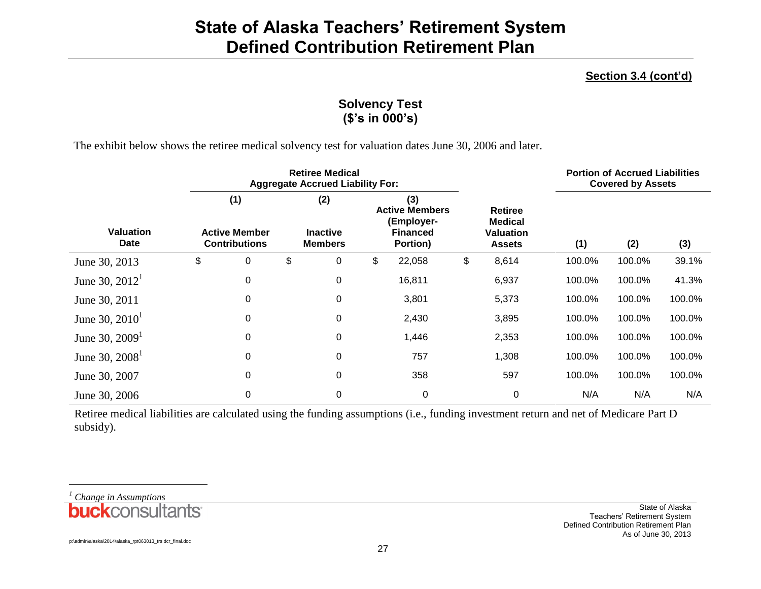### **Section 3.4 (cont'd)**

## **Solvency Test (\$'s in 000's)**

The exhibit below shows the retiree medical solvency test for valuation dates June 30, 2006 and later.

|                                 |                                                     | <b>Retiree Medical</b><br><b>Aggregate Accrued Liability For:</b> |    |                                          |    |                                                                           |    |                                                                       | <b>Portion of Accrued Liabilities</b><br><b>Covered by Assets</b> |        |        |  |
|---------------------------------|-----------------------------------------------------|-------------------------------------------------------------------|----|------------------------------------------|----|---------------------------------------------------------------------------|----|-----------------------------------------------------------------------|-------------------------------------------------------------------|--------|--------|--|
| <b>Valuation</b><br><b>Date</b> | (1)<br><b>Active Member</b><br><b>Contributions</b> |                                                                   |    | (2)<br><b>Inactive</b><br><b>Members</b> |    | (3)<br><b>Active Members</b><br>(Employer-<br><b>Financed</b><br>Portion) |    | <b>Retiree</b><br><b>Medical</b><br><b>Valuation</b><br><b>Assets</b> | (1)                                                               | (2)    | (3)    |  |
| June 30, 2013                   | \$                                                  | 0                                                                 | \$ | 0                                        | \$ | 22,058                                                                    | \$ | 8,614                                                                 | 100.0%                                                            | 100.0% | 39.1%  |  |
| June 30, $2012^1$               |                                                     | 0                                                                 |    | 0                                        |    | 16,811                                                                    |    | 6,937                                                                 | 100.0%                                                            | 100.0% | 41.3%  |  |
| June 30, 2011                   |                                                     | 0                                                                 |    | 0                                        |    | 3,801                                                                     |    | 5,373                                                                 | 100.0%                                                            | 100.0% | 100.0% |  |
| June 30, $2010^1$               |                                                     | 0                                                                 |    | 0                                        |    | 2,430                                                                     |    | 3,895                                                                 | 100.0%                                                            | 100.0% | 100.0% |  |
| June 30, $20091$                |                                                     | $\mathbf 0$                                                       |    | 0                                        |    | 1,446                                                                     |    | 2,353                                                                 | 100.0%                                                            | 100.0% | 100.0% |  |
| June 30, $2008^1$               |                                                     | 0                                                                 |    | 0                                        |    | 757                                                                       |    | 1,308                                                                 | 100.0%                                                            | 100.0% | 100.0% |  |
| June 30, 2007                   |                                                     | $\Omega$                                                          |    | 0                                        |    | 358                                                                       |    | 597                                                                   | 100.0%                                                            | 100.0% | 100.0% |  |
| June 30, 2006                   |                                                     | 0                                                                 |    | 0                                        |    | 0                                                                         |    | $\mathbf 0$                                                           | N/A                                                               | N/A    | N/A    |  |

Retiree medical liabilities are calculated using the funding assumptions (i.e., funding investment return and net of Medicare Part D subsidy).

*<sup>1</sup> Change in Assumptions***buck**consultants

l

State of Alaska Teachers' Retirement System Defined Contribution Retirement Plan As of June 30, 2013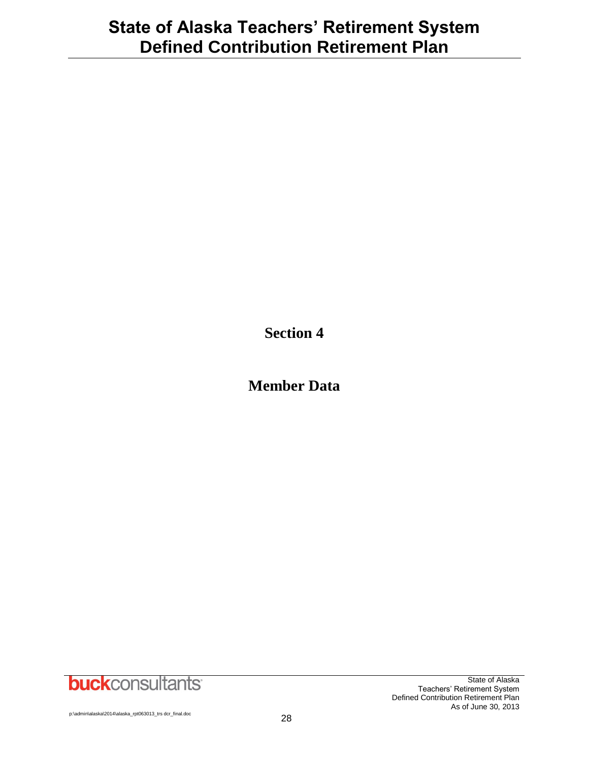**Section 4**

**Member Data**

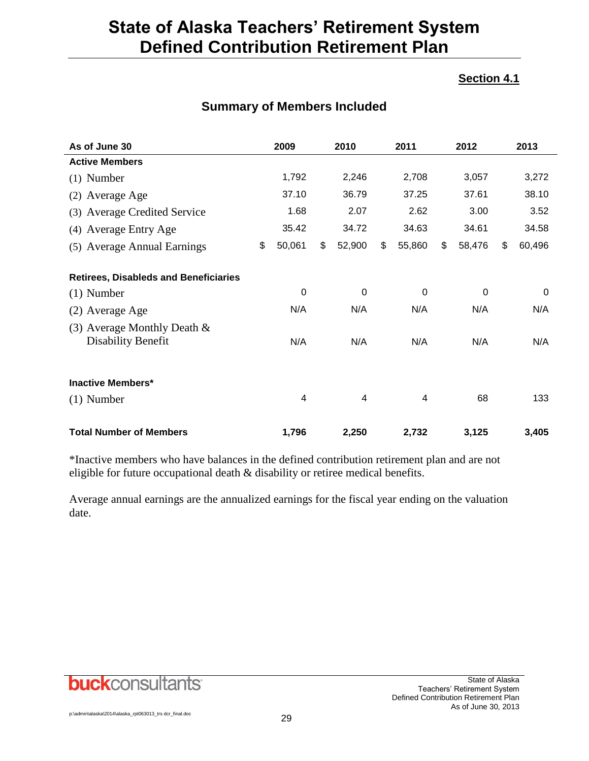## **Section 4.1**

| As of June 30                                        | 2009         | 2010         | 2011         | 2012         | 2013         |
|------------------------------------------------------|--------------|--------------|--------------|--------------|--------------|
| <b>Active Members</b>                                |              |              |              |              |              |
| $(1)$ Number                                         | 1,792        | 2,246        | 2,708        | 3,057        | 3,272        |
| (2) Average Age                                      | 37.10        | 36.79        | 37.25        | 37.61        | 38.10        |
| (3) Average Credited Service                         | 1.68         | 2.07         | 2.62         | 3.00         | 3.52         |
| (4) Average Entry Age                                | 35.42        | 34.72        | 34.63        | 34.61        | 34.58        |
| (5) Average Annual Earnings                          | \$<br>50,061 | \$<br>52,900 | \$<br>55,860 | \$<br>58,476 | \$<br>60,496 |
| <b>Retirees, Disableds and Beneficiaries</b>         |              |              |              |              |              |
| $(1)$ Number                                         | 0            | $\Omega$     | $\Omega$     | $\Omega$     | $\Omega$     |
| (2) Average Age                                      | N/A          | N/A          | N/A          | N/A          | N/A          |
| (3) Average Monthly Death $\&$<br>Disability Benefit | N/A          | N/A          | N/A          | N/A          | N/A          |
| <b>Inactive Members*</b>                             |              |              |              |              |              |
| $(1)$ Number                                         | 4            | 4            | 4            | 68           | 133          |
| <b>Total Number of Members</b>                       | 1,796        | 2,250        | 2,732        | 3,125        | 3,405        |

## **Summary of Members Included**

\*Inactive members who have balances in the defined contribution retirement plan and are not eligible for future occupational death & disability or retiree medical benefits.

Average annual earnings are the annualized earnings for the fiscal year ending on the valuation date.

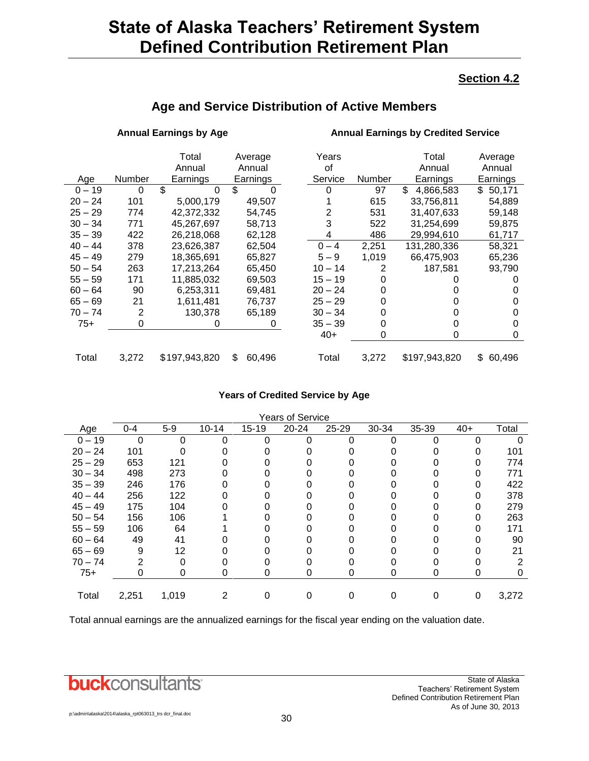### **Section 4.2**

| Age and Service Distribution of Active Members |  |  |  |
|------------------------------------------------|--|--|--|
|------------------------------------------------|--|--|--|

### **Annual Earnings by Age Annual Earnings by Credited Service**

|           |        | Total<br>Annual | Average<br>Annual | Years<br>οf |        | Total<br>Annual  | Average<br>Annual |
|-----------|--------|-----------------|-------------------|-------------|--------|------------------|-------------------|
| Age       | Number | Earnings        | Earnings          | Service     | Number | Earnings         | Earnings          |
| $0 - 19$  | 0      | \$<br>$\Omega$  | \$                |             | 97     | \$.<br>4.866.583 | \$50,171          |
| $20 - 24$ | 101    | 5,000,179       | 49,507            |             | 615    | 33,756,811       | 54,889            |
| $25 - 29$ | 774    | 42,372,332      | 54,745            | 2           | 531    | 31,407,633       | 59,148            |
| $30 - 34$ | 771    | 45,267,697      | 58,713            | 3           | 522    | 31,254,699       | 59,875            |
| $35 - 39$ | 422    | 26,218,068      | 62,128            |             | 486    | 29.994.610       | 61,717            |
| $40 - 44$ | 378    | 23,626,387      | 62,504            | $0 - 4$     | 2,251  | 131,280,336      | 58,321            |
| $45 - 49$ | 279    | 18,365,691      | 65,827            | $5 - 9$     | 1,019  | 66,475,903       | 65,236            |
| $50 - 54$ | 263    | 17,213,264      | 65.450            | $10 - 14$   | 2      | 187.581          | 93,790            |
| $55 - 59$ | 171    | 11,885,032      | 69,503            | $15 - 19$   |        |                  |                   |
| $60 - 64$ | 90     | 6,253,311       | 69.481            | $20 - 24$   |        |                  |                   |
| $65 - 69$ | 21     | 1,611,481       | 76.737            | $25 - 29$   |        |                  |                   |
| $70 - 74$ | 2      | 130.378         | 65,189            | $30 - 34$   |        |                  |                   |
| $75+$     | 0      | O               | $\Omega$          | $35 - 39$   |        |                  | 0                 |
|           |        |                 |                   | $40+$       | 0      | 0                | 0                 |
|           |        |                 |                   |             |        |                  |                   |
| Total     | 3,272  | \$197,943,820   | \$<br>60,496      | Total       | 3,272  | \$197,943,820    | \$<br>60,496      |

### **Years of Credited Service by Age**

| <b>Years of Service</b> |         |       |           |           |           |           |       |       |       |       |
|-------------------------|---------|-------|-----------|-----------|-----------|-----------|-------|-------|-------|-------|
| Age                     | $0 - 4$ | $5-9$ | $10 - 14$ | $15 - 19$ | $20 - 24$ | $25 - 29$ | 30-34 | 35-39 | $40+$ | Total |
| $0 - 19$                | 0       | 0     | ∩         | 0         |           |           |       |       | U     |       |
| $20 - 24$               | 101     |       |           |           |           |           |       |       |       | 101   |
| $25 - 29$               | 653     | 121   |           |           |           |           |       |       |       | 774   |
| $30 - 34$               | 498     | 273   |           |           |           |           |       |       |       | 771   |
| $35 - 39$               | 246     | 176   |           |           |           |           |       |       |       | 422   |
| $40 - 44$               | 256     | 122   |           |           |           |           |       |       |       | 378   |
| $45 - 49$               | 175     | 104   |           |           |           |           |       |       |       | 279   |
| $50 - 54$               | 156     | 106   |           |           |           |           |       |       |       | 263   |
| $55 - 59$               | 106     | 64    |           |           |           |           |       |       |       | 171   |
| $60 - 64$               | 49      | 41    |           |           |           |           |       |       |       | 90    |
| $65 - 69$               | 9       | 12    |           |           |           |           |       |       |       | 21    |
| $70 - 74$               | 2       |       |           |           |           |           |       |       |       | 2     |
| $75+$                   | 0       | 0     | 0         | 0         | 0         | 0         | 0     | 0     | 0     | 0     |
| Total                   | 2,251   | 1,019 |           |           |           |           |       |       |       | 3,272 |
|                         |         |       |           |           |           |           |       |       |       |       |

Total annual earnings are the annualized earnings for the fiscal year ending on the valuation date.

## **buck**consultants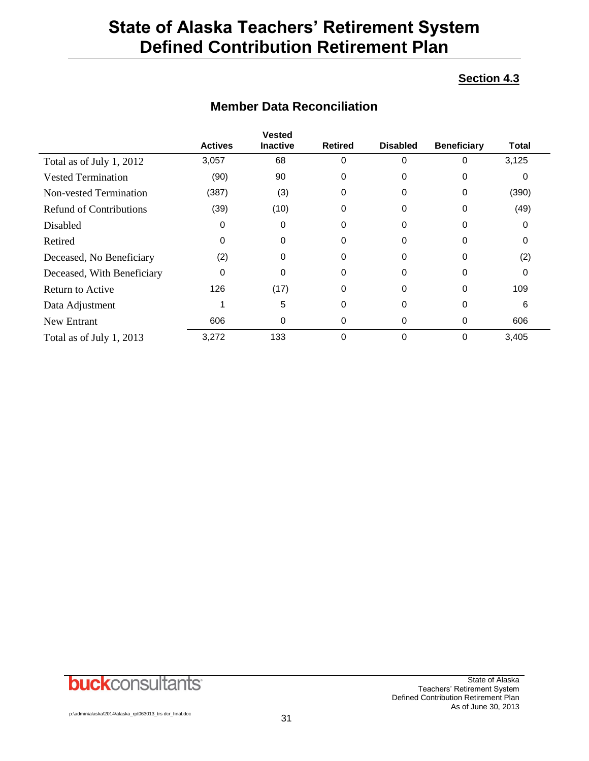### **Section 4.3**

|                                | <b>Actives</b> | <b>Vested</b><br><b>Inactive</b> | <b>Retired</b> | <b>Disabled</b> | <b>Beneficiary</b> | <b>Total</b> |
|--------------------------------|----------------|----------------------------------|----------------|-----------------|--------------------|--------------|
| Total as of July 1, 2012       | 3,057          | 68                               | 0              | $\Omega$        | 0                  | 3,125        |
| <b>Vested Termination</b>      | (90)           | 90                               | 0              | 0               | 0                  | O            |
| Non-vested Termination         | (387)          | (3)                              | 0              | $\Omega$        | 0                  | (390)        |
| <b>Refund of Contributions</b> | (39)           | (10)                             | 0              | 0               | 0                  | (49)         |
| Disabled                       | 0              | 0                                | 0              | 0               | 0                  | 0            |
| Retired                        | 0              | $\Omega$                         | 0              | 0               | 0                  | 0            |
| Deceased, No Beneficiary       | (2)            | $\Omega$                         | $\Omega$       | $\Omega$        | 0                  | (2)          |
| Deceased, With Beneficiary     | 0              | $\Omega$                         | $\Omega$       | 0               | 0                  | 0            |
| Return to Active               | 126            | (17)                             | 0              | 0               | 0                  | 109          |
| Data Adjustment                |                | 5                                | 0              | 0               | 0                  | 6            |
| New Entrant                    | 606            | 0                                | 0              | 0               | 0                  | 606          |
| Total as of July 1, 2013       | 3,272          | 133                              | 0              | 0               | 0                  | 3,405        |

## **Member Data Reconciliation**

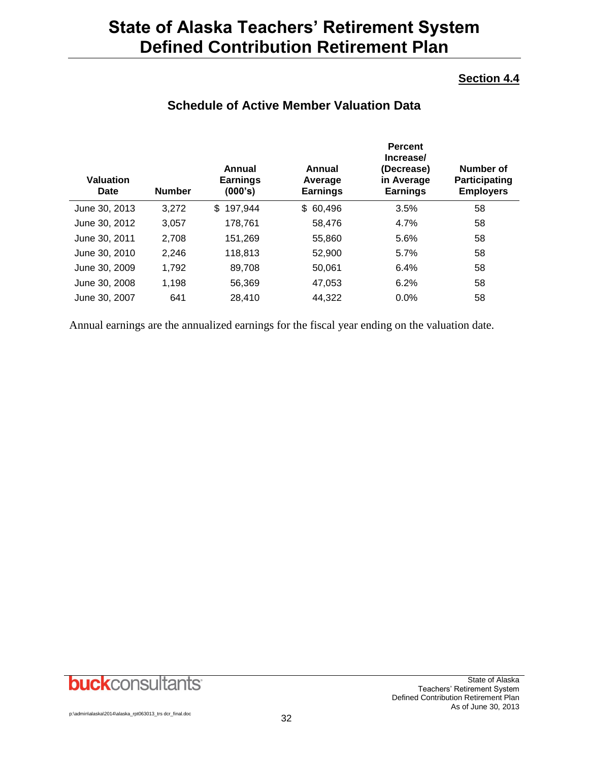### **Section 4.4**

| <b>Schedule of Active Member Valuation Data</b> |
|-------------------------------------------------|
|-------------------------------------------------|

|                                 |               |                                      |                                      | <b>Percent</b><br>Increase/                 |                                                       |
|---------------------------------|---------------|--------------------------------------|--------------------------------------|---------------------------------------------|-------------------------------------------------------|
| <b>Valuation</b><br><b>Date</b> | <b>Number</b> | Annual<br><b>Earnings</b><br>(000's) | Annual<br>Average<br><b>Earnings</b> | (Decrease)<br>in Average<br><b>Earnings</b> | Number of<br><b>Participating</b><br><b>Employers</b> |
| June 30, 2013                   | 3,272         | 197,944<br>\$.                       | 60,496<br>\$                         | 3.5%                                        | 58                                                    |
| June 30, 2012                   | 3,057         | 178,761                              | 58,476                               | 4.7%                                        | 58                                                    |
| June 30, 2011                   | 2,708         | 151,269                              | 55,860                               | 5.6%                                        | 58                                                    |
| June 30, 2010                   | 2,246         | 118,813                              | 52,900                               | 5.7%                                        | 58                                                    |
| June 30, 2009                   | 1,792         | 89.708                               | 50.061                               | 6.4%                                        | 58                                                    |
| June 30, 2008                   | 1,198         | 56.369                               | 47,053                               | 6.2%                                        | 58                                                    |
| June 30, 2007                   | 641           | 28.410                               | 44.322                               | 0.0%                                        | 58                                                    |

Annual earnings are the annualized earnings for the fiscal year ending on the valuation date.

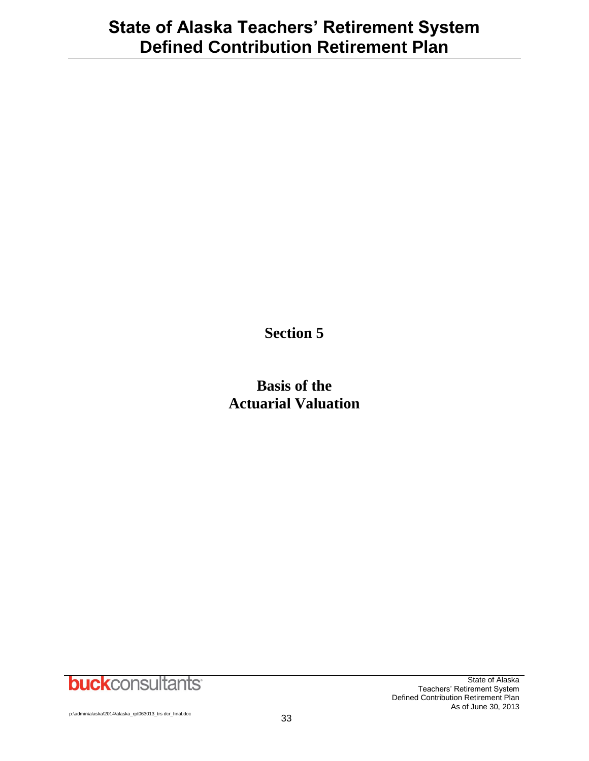**Section 5**

**Basis of the Actuarial Valuation**

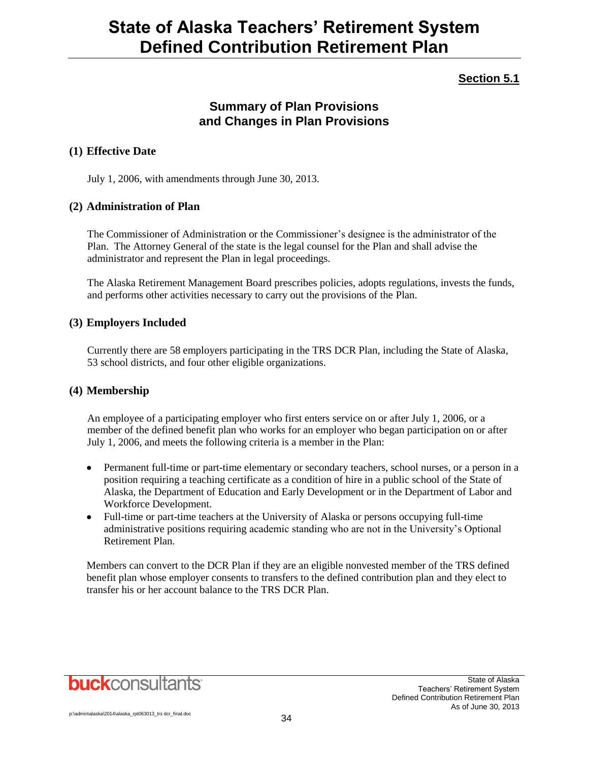## **Section 5.1**

## **Summary of Plan Provisions and Changes in Plan Provisions**

### **(1) Effective Date**

July 1, 2006, with amendments through June 30, 2013.

### **(2) Administration of Plan**

The Commissioner of Administration or the Commissioner's designee is the administrator of the Plan. The Attorney General of the state is the legal counsel for the Plan and shall advise the administrator and represent the Plan in legal proceedings.

The Alaska Retirement Management Board prescribes policies, adopts regulations, invests the funds, and performs other activities necessary to carry out the provisions of the Plan.

### **(3) Employers Included**

Currently there are 58 employers participating in the TRS DCR Plan, including the State of Alaska, 53 school districts, and four other eligible organizations.

### **(4) Membership**

An employee of a participating employer who first enters service on or after July 1, 2006, or a member of the defined benefit plan who works for an employer who began participation on or after July 1, 2006, and meets the following criteria is a member in the Plan:

- Permanent full-time or part-time elementary or secondary teachers, school nurses, or a person in a position requiring a teaching certificate as a condition of hire in a public school of the State of Alaska, the Department of Education and Early Development or in the Department of Labor and Workforce Development.
- Full-time or part-time teachers at the University of Alaska or persons occupying full-time administrative positions requiring academic standing who are not in the University's Optional Retirement Plan.

Members can convert to the DCR Plan if they are an eligible nonvested member of the TRS defined benefit plan whose employer consents to transfers to the defined contribution plan and they elect to transfer his or her account balance to the TRS DCR Plan.

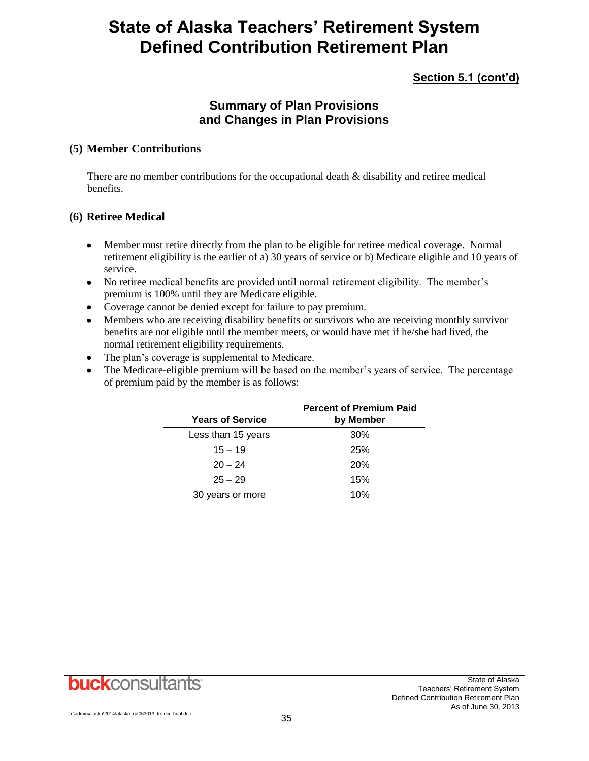## **Section 5.1 (cont'd)**

## **Summary of Plan Provisions and Changes in Plan Provisions**

### **(5) Member Contributions**

There are no member contributions for the occupational death & disability and retiree medical benefits.

### **(6) Retiree Medical**

- Member must retire directly from the plan to be eligible for retiree medical coverage. Normal retirement eligibility is the earlier of a) 30 years of service or b) Medicare eligible and 10 years of service.
- No retiree medical benefits are provided until normal retirement eligibility. The member's premium is 100% until they are Medicare eligible.
- Coverage cannot be denied except for failure to pay premium.
- Members who are receiving disability benefits or survivors who are receiving monthly survivor benefits are not eligible until the member meets, or would have met if he/she had lived, the normal retirement eligibility requirements.
- The plan's coverage is supplemental to Medicare.
- The Medicare-eligible premium will be based on the member's years of service. The percentage of premium paid by the member is as follows:

| <b>Years of Service</b> | <b>Percent of Premium Paid</b><br>by Member |
|-------------------------|---------------------------------------------|
| Less than 15 years      | 30%                                         |
| $15 - 19$               | 25%                                         |
| $20 - 24$               | <b>20%</b>                                  |
| $25 - 29$               | 15%                                         |
| 30 years or more        | 10%                                         |

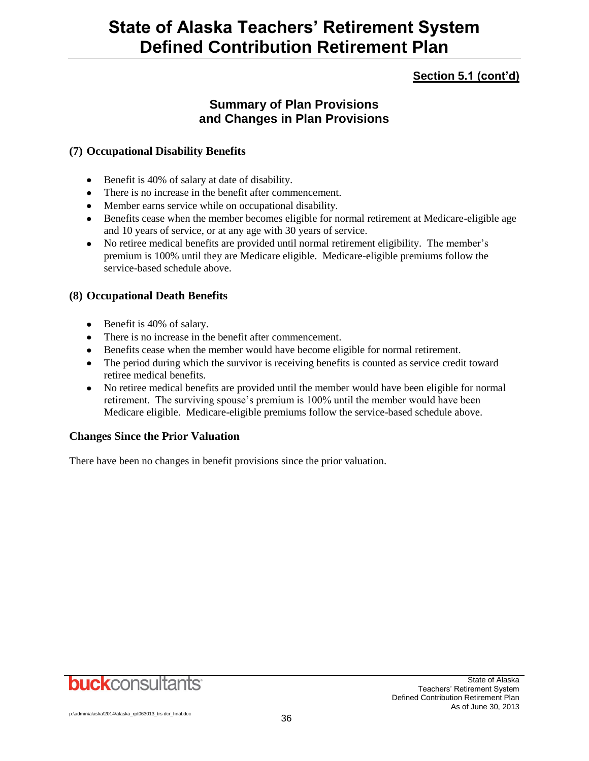## **Section 5.1 (cont'd)**

## **Summary of Plan Provisions and Changes in Plan Provisions**

### **(7) Occupational Disability Benefits**

- Benefit is 40% of salary at date of disability.
- There is no increase in the benefit after commencement.
- Member earns service while on occupational disability.
- Benefits cease when the member becomes eligible for normal retirement at Medicare-eligible age and 10 years of service, or at any age with 30 years of service.
- No retiree medical benefits are provided until normal retirement eligibility. The member's premium is 100% until they are Medicare eligible. Medicare-eligible premiums follow the service-based schedule above.

### **(8) Occupational Death Benefits**

- Benefit is 40% of salary.
- There is no increase in the benefit after commencement.
- Benefits cease when the member would have become eligible for normal retirement.
- The period during which the survivor is receiving benefits is counted as service credit toward retiree medical benefits.
- No retiree medical benefits are provided until the member would have been eligible for normal retirement. The surviving spouse's premium is 100% until the member would have been Medicare eligible. Medicare-eligible premiums follow the service-based schedule above.

### **Changes Since the Prior Valuation**

There have been no changes in benefit provisions since the prior valuation.

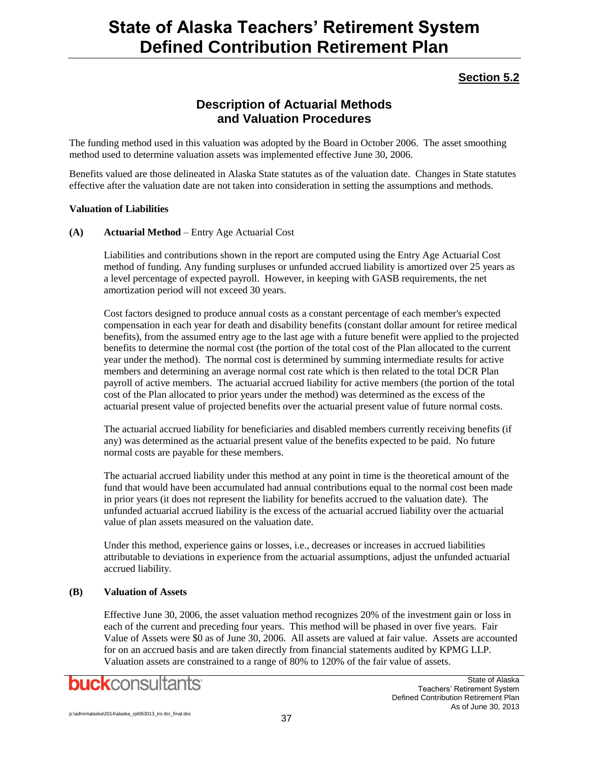## **Section 5.2**

## **Description of Actuarial Methods and Valuation Procedures**

The funding method used in this valuation was adopted by the Board in October 2006. The asset smoothing method used to determine valuation assets was implemented effective June 30, 2006.

Benefits valued are those delineated in Alaska State statutes as of the valuation date. Changes in State statutes effective after the valuation date are not taken into consideration in setting the assumptions and methods.

### **Valuation of Liabilities**

### **(A) Actuarial Method** – Entry Age Actuarial Cost

Liabilities and contributions shown in the report are computed using the Entry Age Actuarial Cost method of funding. Any funding surpluses or unfunded accrued liability is amortized over 25 years as a level percentage of expected payroll. However, in keeping with GASB requirements, the net amortization period will not exceed 30 years.

Cost factors designed to produce annual costs as a constant percentage of each member's expected compensation in each year for death and disability benefits (constant dollar amount for retiree medical benefits), from the assumed entry age to the last age with a future benefit were applied to the projected benefits to determine the normal cost (the portion of the total cost of the Plan allocated to the current year under the method). The normal cost is determined by summing intermediate results for active members and determining an average normal cost rate which is then related to the total DCR Plan payroll of active members. The actuarial accrued liability for active members (the portion of the total cost of the Plan allocated to prior years under the method) was determined as the excess of the actuarial present value of projected benefits over the actuarial present value of future normal costs.

The actuarial accrued liability for beneficiaries and disabled members currently receiving benefits (if any) was determined as the actuarial present value of the benefits expected to be paid. No future normal costs are payable for these members.

The actuarial accrued liability under this method at any point in time is the theoretical amount of the fund that would have been accumulated had annual contributions equal to the normal cost been made in prior years (it does not represent the liability for benefits accrued to the valuation date). The unfunded actuarial accrued liability is the excess of the actuarial accrued liability over the actuarial value of plan assets measured on the valuation date.

Under this method, experience gains or losses, i.e., decreases or increases in accrued liabilities attributable to deviations in experience from the actuarial assumptions, adjust the unfunded actuarial accrued liability.

### **(B) Valuation of Assets**

Effective June 30, 2006, the asset valuation method recognizes 20% of the investment gain or loss in each of the current and preceding four years. This method will be phased in over five years. Fair Value of Assets were \$0 as of June 30, 2006. All assets are valued at fair value. Assets are accounted for on an accrued basis and are taken directly from financial statements audited by KPMG LLP. Valuation assets are constrained to a range of 80% to 120% of the fair value of assets.

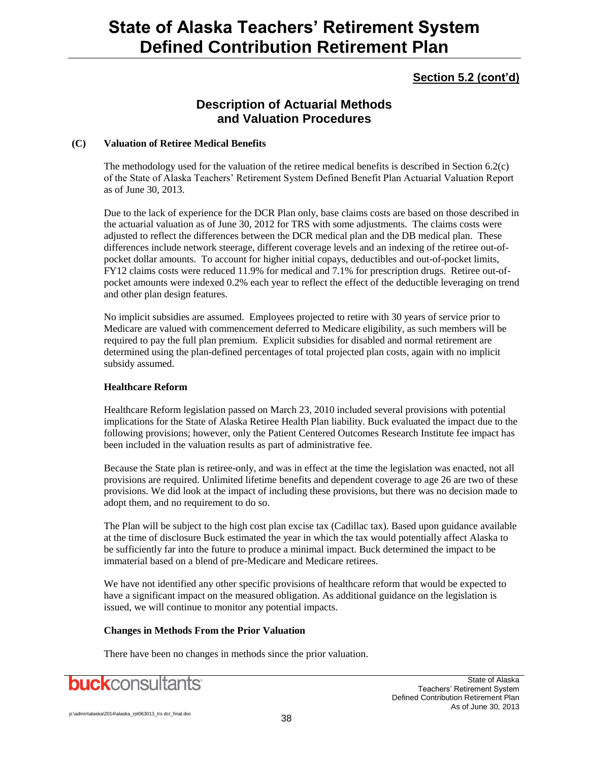### **Section 5.2 (cont'd)**

## **Description of Actuarial Methods and Valuation Procedures**

### **(C) Valuation of Retiree Medical Benefits**

The methodology used for the valuation of the retiree medical benefits is described in Section 6.2(c) of the State of Alaska Teachers' Retirement System Defined Benefit Plan Actuarial Valuation Report as of June 30, 2013.

Due to the lack of experience for the DCR Plan only, base claims costs are based on those described in the actuarial valuation as of June 30, 2012 for TRS with some adjustments. The claims costs were adjusted to reflect the differences between the DCR medical plan and the DB medical plan. These differences include network steerage, different coverage levels and an indexing of the retiree out-ofpocket dollar amounts. To account for higher initial copays, deductibles and out-of-pocket limits, FY12 claims costs were reduced 11.9% for medical and 7.1% for prescription drugs. Retiree out-ofpocket amounts were indexed 0.2% each year to reflect the effect of the deductible leveraging on trend and other plan design features.

No implicit subsidies are assumed. Employees projected to retire with 30 years of service prior to Medicare are valued with commencement deferred to Medicare eligibility, as such members will be required to pay the full plan premium. Explicit subsidies for disabled and normal retirement are determined using the plan-defined percentages of total projected plan costs, again with no implicit subsidy assumed.

### **Healthcare Reform**

Healthcare Reform legislation passed on March 23, 2010 included several provisions with potential implications for the State of Alaska Retiree Health Plan liability. Buck evaluated the impact due to the following provisions; however, only the Patient Centered Outcomes Research Institute fee impact has been included in the valuation results as part of administrative fee.

Because the State plan is retiree-only, and was in effect at the time the legislation was enacted, not all provisions are required. Unlimited lifetime benefits and dependent coverage to age 26 are two of these provisions. We did look at the impact of including these provisions, but there was no decision made to adopt them, and no requirement to do so.

The Plan will be subject to the high cost plan excise tax (Cadillac tax). Based upon guidance available at the time of disclosure Buck estimated the year in which the tax would potentially affect Alaska to be sufficiently far into the future to produce a minimal impact. Buck determined the impact to be immaterial based on a blend of pre-Medicare and Medicare retirees.

We have not identified any other specific provisions of healthcare reform that would be expected to have a significant impact on the measured obligation. As additional guidance on the legislation is issued, we will continue to monitor any potential impacts.

### **Changes in Methods From the Prior Valuation**

There have been no changes in methods since the prior valuation.

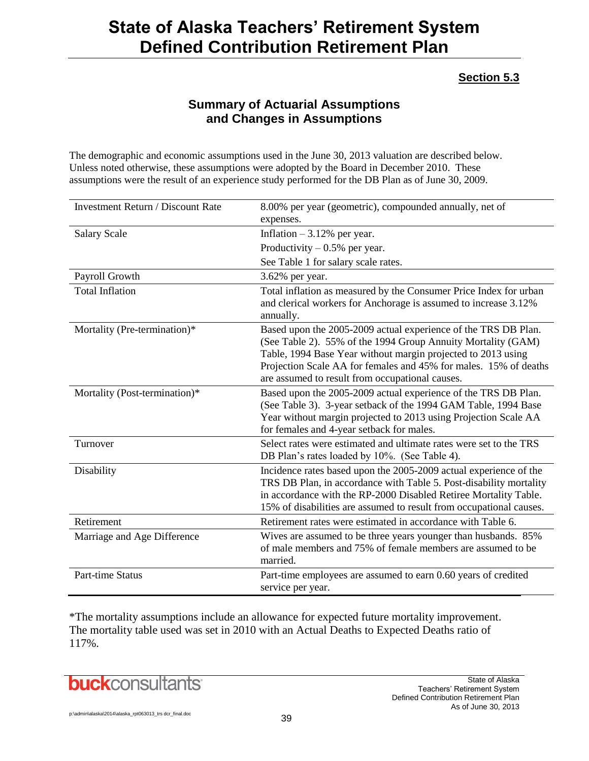### **Section 5.3**

## **Summary of Actuarial Assumptions and Changes in Assumptions**

The demographic and economic assumptions used in the June 30, 2013 valuation are described below. Unless noted otherwise, these assumptions were adopted by the Board in December 2010. These assumptions were the result of an experience study performed for the DB Plan as of June 30, 2009.

| <b>Investment Return / Discount Rate</b> | 8.00% per year (geometric), compounded annually, net of<br>expenses.                                                                                                                                                                                                                                                  |
|------------------------------------------|-----------------------------------------------------------------------------------------------------------------------------------------------------------------------------------------------------------------------------------------------------------------------------------------------------------------------|
| <b>Salary Scale</b>                      | Inflation $-3.12%$ per year.                                                                                                                                                                                                                                                                                          |
|                                          | Productivity $-0.5%$ per year.                                                                                                                                                                                                                                                                                        |
|                                          | See Table 1 for salary scale rates.                                                                                                                                                                                                                                                                                   |
| Payroll Growth                           | 3.62% per year.                                                                                                                                                                                                                                                                                                       |
| <b>Total Inflation</b>                   | Total inflation as measured by the Consumer Price Index for urban<br>and clerical workers for Anchorage is assumed to increase 3.12%<br>annually.                                                                                                                                                                     |
| Mortality (Pre-termination)*             | Based upon the 2005-2009 actual experience of the TRS DB Plan.<br>(See Table 2). 55% of the 1994 Group Annuity Mortality (GAM)<br>Table, 1994 Base Year without margin projected to 2013 using<br>Projection Scale AA for females and 45% for males. 15% of deaths<br>are assumed to result from occupational causes. |
| Mortality (Post-termination)*            | Based upon the 2005-2009 actual experience of the TRS DB Plan.<br>(See Table 3). 3-year setback of the 1994 GAM Table, 1994 Base<br>Year without margin projected to 2013 using Projection Scale AA<br>for females and 4-year setback for males.                                                                      |
| Turnover                                 | Select rates were estimated and ultimate rates were set to the TRS<br>DB Plan's rates loaded by 10%. (See Table 4).                                                                                                                                                                                                   |
| Disability                               | Incidence rates based upon the 2005-2009 actual experience of the<br>TRS DB Plan, in accordance with Table 5. Post-disability mortality<br>in accordance with the RP-2000 Disabled Retiree Mortality Table.<br>15% of disabilities are assumed to result from occupational causes.                                    |
| Retirement                               | Retirement rates were estimated in accordance with Table 6.                                                                                                                                                                                                                                                           |
| Marriage and Age Difference              | Wives are assumed to be three years younger than husbands. 85%<br>of male members and 75% of female members are assumed to be<br>married.                                                                                                                                                                             |
| <b>Part-time Status</b>                  | Part-time employees are assumed to earn 0.60 years of credited<br>service per year.                                                                                                                                                                                                                                   |

\*The mortality assumptions include an allowance for expected future mortality improvement. The mortality table used was set in 2010 with an Actual Deaths to Expected Deaths ratio of 117%.

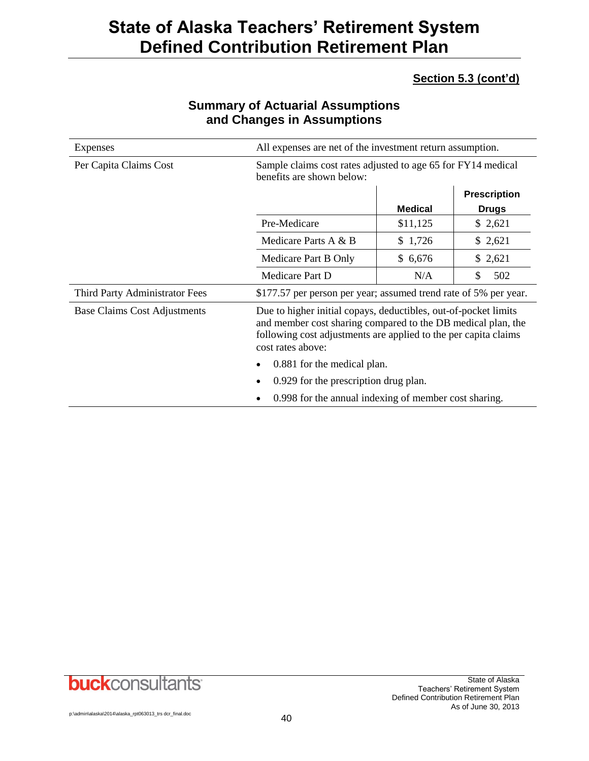## **Section 5.3 (cont'd)**

| <b>Expenses</b>                | All expenses are net of the investment return assumption.                                                                                                                                                               |          |           |  |
|--------------------------------|-------------------------------------------------------------------------------------------------------------------------------------------------------------------------------------------------------------------------|----------|-----------|--|
| Per Capita Claims Cost         | Sample claims cost rates adjusted to age 65 for FY14 medical<br>benefits are shown below:                                                                                                                               |          |           |  |
|                                | <b>Prescription</b><br><b>Medical</b><br><b>Drugs</b>                                                                                                                                                                   |          |           |  |
|                                | Pre-Medicare                                                                                                                                                                                                            | \$11,125 | \$2,621   |  |
|                                | Medicare Parts A & B                                                                                                                                                                                                    | \$1,726  | \$2,621   |  |
|                                | \$6,676<br>\$2,621<br>Medicare Part B Only                                                                                                                                                                              |          |           |  |
|                                | Medicare Part D<br>N/A                                                                                                                                                                                                  |          | \$<br>502 |  |
| Third Party Administrator Fees | \$177.57 per person per year; assumed trend rate of 5% per year.                                                                                                                                                        |          |           |  |
| Base Claims Cost Adjustments   | Due to higher initial copays, deductibles, out-of-pocket limits<br>and member cost sharing compared to the DB medical plan, the<br>following cost adjustments are applied to the per capita claims<br>cost rates above: |          |           |  |
|                                | 0.881 for the medical plan.                                                                                                                                                                                             |          |           |  |
|                                | 0.929 for the prescription drug plan.<br>٠                                                                                                                                                                              |          |           |  |
|                                | 0.998 for the annual indexing of member cost sharing.<br>$\bullet$                                                                                                                                                      |          |           |  |

## **Summary of Actuarial Assumptions and Changes in Assumptions**

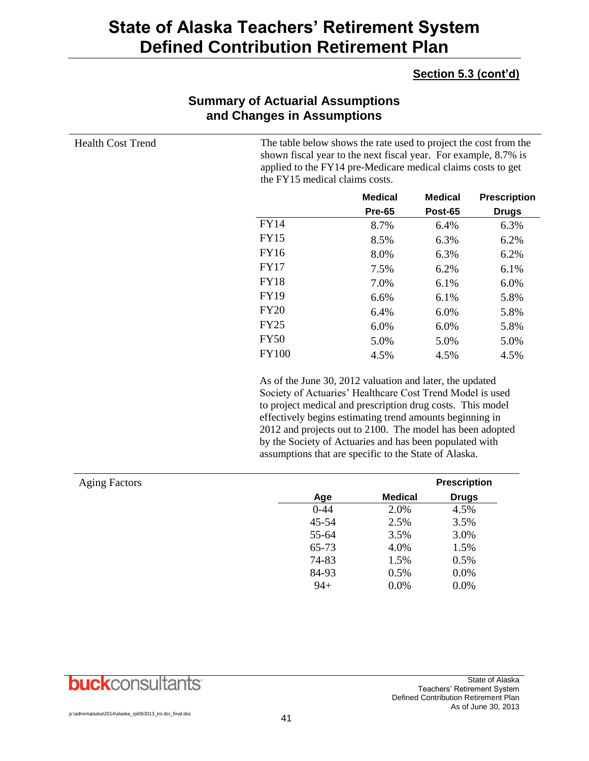### **Section 5.3 (cont'd)**

| <b>Health Cost Trend</b> | The table below shows the rate used to project the cost from the<br>shown fiscal year to the next fiscal year. For example, 8.7% is<br>applied to the FY14 pre-Medicare medical claims costs to get<br>the FY15 medical claims costs. |                                                                                                                                                                                                                                                                                                                                                                                                                                  |                     |                     |
|--------------------------|---------------------------------------------------------------------------------------------------------------------------------------------------------------------------------------------------------------------------------------|----------------------------------------------------------------------------------------------------------------------------------------------------------------------------------------------------------------------------------------------------------------------------------------------------------------------------------------------------------------------------------------------------------------------------------|---------------------|---------------------|
|                          |                                                                                                                                                                                                                                       | <b>Medical</b>                                                                                                                                                                                                                                                                                                                                                                                                                   | <b>Medical</b>      | <b>Prescription</b> |
|                          |                                                                                                                                                                                                                                       | <b>Pre-65</b>                                                                                                                                                                                                                                                                                                                                                                                                                    | <b>Post-65</b>      | <b>Drugs</b>        |
|                          | <b>FY14</b>                                                                                                                                                                                                                           | 8.7%                                                                                                                                                                                                                                                                                                                                                                                                                             | 6.4%                | 6.3%                |
|                          | <b>FY15</b>                                                                                                                                                                                                                           | 8.5%                                                                                                                                                                                                                                                                                                                                                                                                                             | 6.3%                | 6.2%                |
|                          | <b>FY16</b>                                                                                                                                                                                                                           | 8.0%                                                                                                                                                                                                                                                                                                                                                                                                                             | 6.3%                | 6.2%                |
|                          | <b>FY17</b>                                                                                                                                                                                                                           | 7.5%                                                                                                                                                                                                                                                                                                                                                                                                                             | 6.2%                | 6.1%                |
|                          | <b>FY18</b>                                                                                                                                                                                                                           | 7.0%                                                                                                                                                                                                                                                                                                                                                                                                                             | 6.1%                | 6.0%                |
|                          | <b>FY19</b>                                                                                                                                                                                                                           | 6.6%                                                                                                                                                                                                                                                                                                                                                                                                                             | 6.1%                | 5.8%                |
|                          | <b>FY20</b>                                                                                                                                                                                                                           | 6.4%                                                                                                                                                                                                                                                                                                                                                                                                                             | 6.0%                | 5.8%                |
|                          | <b>FY25</b>                                                                                                                                                                                                                           | 6.0%                                                                                                                                                                                                                                                                                                                                                                                                                             | 6.0%                | 5.8%                |
|                          | <b>FY50</b>                                                                                                                                                                                                                           | 5.0%                                                                                                                                                                                                                                                                                                                                                                                                                             | 5.0%                | 5.0%                |
|                          | <b>FY100</b>                                                                                                                                                                                                                          | 4.5%                                                                                                                                                                                                                                                                                                                                                                                                                             | 4.5%                | 4.5%                |
|                          |                                                                                                                                                                                                                                       | As of the June 30, 2012 valuation and later, the updated<br>Society of Actuaries' Healthcare Cost Trend Model is used<br>to project medical and prescription drug costs. This model<br>effectively begins estimating trend amounts beginning in<br>2012 and projects out to 2100. The model has been adopted<br>by the Society of Actuaries and has been populated with<br>assumptions that are specific to the State of Alaska. |                     |                     |
| <b>Aging Factors</b>     |                                                                                                                                                                                                                                       |                                                                                                                                                                                                                                                                                                                                                                                                                                  | <b>Prescription</b> |                     |
|                          | Age                                                                                                                                                                                                                                   | <b>Medical</b>                                                                                                                                                                                                                                                                                                                                                                                                                   | <b>Drugs</b>        |                     |
|                          | 0.44                                                                                                                                                                                                                                  | $2.0\%$                                                                                                                                                                                                                                                                                                                                                                                                                          | 4.50%               |                     |

## **Summary of Actuarial Assumptions and Changes in Assumptions**

| <b>Aging Factors</b> |          |                | <b>Prescription</b> |
|----------------------|----------|----------------|---------------------|
|                      | Age      | <b>Medical</b> | <b>Drugs</b>        |
|                      | $0 - 44$ | 2.0%           | 4.5%                |
|                      | 45-54    | 2.5%           | 3.5%                |
|                      | 55-64    | 3.5%           | 3.0%                |
|                      | 65-73    | 4.0%           | 1.5%                |
|                      | 74-83    | 1.5%           | 0.5%                |
|                      | 84-93    | 0.5%           | 0.0%                |
|                      | $94+$    | 0.0%           | 0.0%                |

## **buck**consultants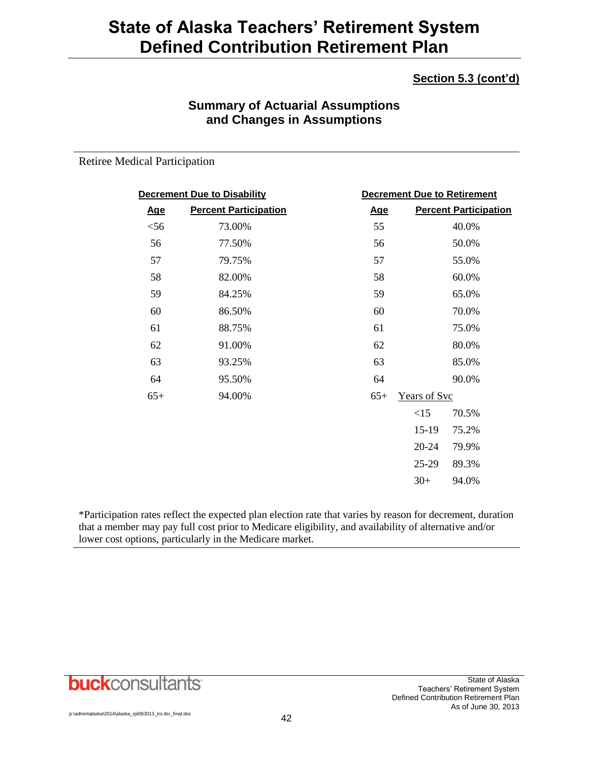## **Section 5.3 (cont'd)**

## **Summary of Actuarial Assumptions and Changes in Assumptions**

Retiree Medical Participation

| <b>Decrement Due to Disability</b> |                              |            |              | <b>Decrement Due to Retirement</b> |
|------------------------------------|------------------------------|------------|--------------|------------------------------------|
| <u>Age</u>                         | <b>Percent Participation</b> | <u>Age</u> |              | <b>Percent Participation</b>       |
| $<$ 56                             | 73.00%                       | 55         |              | 40.0%                              |
| 56                                 | 77.50%                       | 56         |              | 50.0%                              |
| 57                                 | 79.75%                       | 57         |              | 55.0%                              |
| 58                                 | 82.00%                       | 58         |              | 60.0%                              |
| 59                                 | 84.25%                       | 59         |              | 65.0%                              |
| 60                                 | 86.50%                       | 60         |              | 70.0%                              |
| 61                                 | 88.75%                       | 61         |              | 75.0%                              |
| 62                                 | 91.00%                       | 62         |              | 80.0%                              |
| 63                                 | 93.25%                       | 63         |              | 85.0%                              |
| 64                                 | 95.50%                       | 64         |              | 90.0%                              |
| $65+$                              | 94.00%                       | $65+$      | Years of Svc |                                    |
|                                    |                              |            | <15          | 70.5%                              |
|                                    |                              |            | 15-19        | 75.2%                              |
|                                    |                              |            | $20 - 24$    | 79.9%                              |
|                                    |                              |            | 25-29        | 89.3%                              |
|                                    |                              |            | $30+$        | 94.0%                              |
|                                    |                              |            |              |                                    |

\*Participation rates reflect the expected plan election rate that varies by reason for decrement, duration that a member may pay full cost prior to Medicare eligibility, and availability of alternative and/or lower cost options, particularly in the Medicare market.

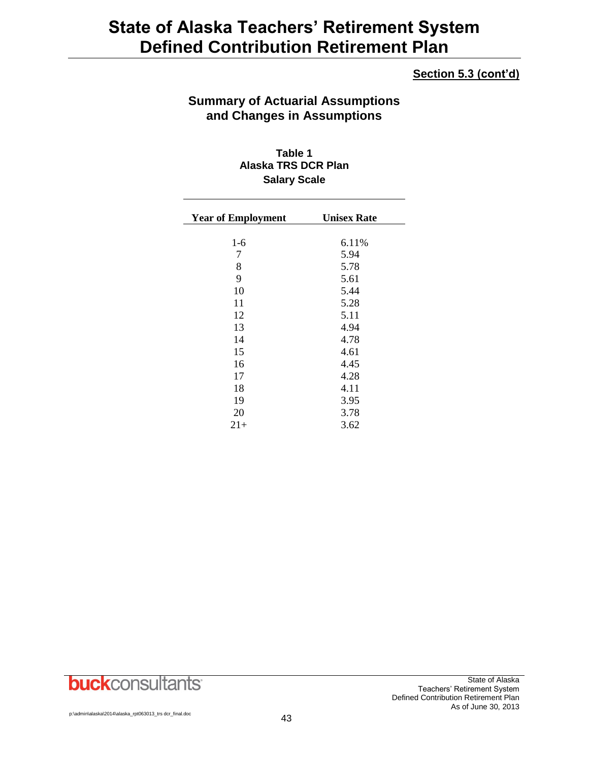### **Section 5.3 (cont'd)**

## **Summary of Actuarial Assumptions and Changes in Assumptions**

**Table 1 Alaska TRS DCR Plan Salary Scale**

| <b>Year of Employment</b> | <b>Unisex Rate</b> |
|---------------------------|--------------------|
| $1-6$                     | 6.11%              |
| 7                         | 5.94               |
| 8                         | 5.78               |
| 9                         | 5.61               |
| 10                        | 5.44               |
| 11                        | 5.28               |
| 12                        | 5.11               |
| 13                        | 4.94               |
| 14                        | 4.78               |
| 15                        | 4.61               |
| 16                        | 4.45               |
| 17                        | 4.28               |
| 18                        | 4.11               |
| 19                        | 3.95               |
| 20                        | 3.78               |
| $21+$                     | 3.62               |

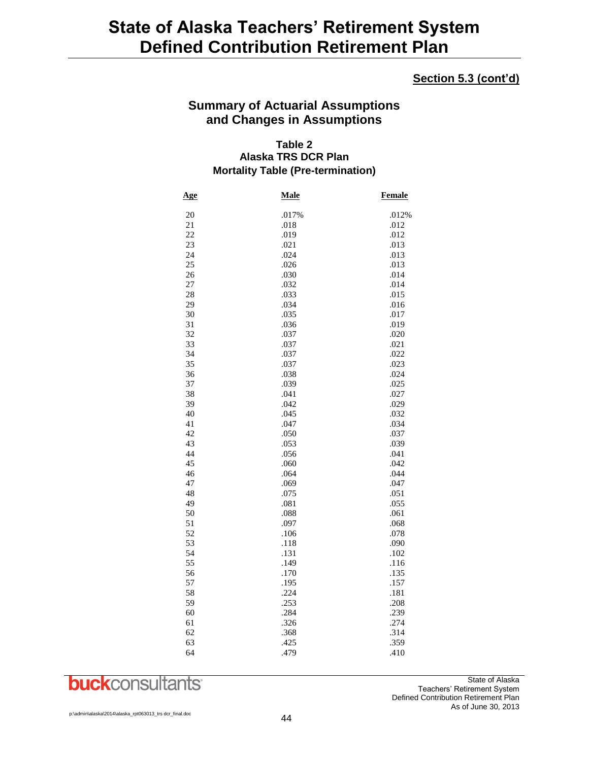## **Section 5.3 (cont'd)**

## **Summary of Actuarial Assumptions and Changes in Assumptions**

### **Table 2 Alaska TRS DCR Plan Mortality Table (Pre-termination)**

| Age      | Male         | <b>Female</b> |
|----------|--------------|---------------|
| 20       | .017%        | .012%         |
| 21       | .018         | .012          |
| 22       | .019         | .012          |
| 23       | .021         | .013          |
| 24       | .024         | .013          |
| 25       | .026         | .013          |
| 26       | .030         | .014          |
| 27       | .032         | .014          |
| 28       | .033         | .015          |
| 29       | .034         | .016          |
| 30       | .035         | .017          |
| 31       | .036         | .019          |
| 32       | .037         | .020          |
| 33       | .037         | .021          |
| 34       | .037         | .022          |
| 35       | .037         | .023          |
| 36       | .038         | .024          |
| 37       | .039         | .025          |
| 38       | .041         | .027          |
| 39       | .042         | .029          |
| 40       | .045         | .032          |
| 41       | .047         | .034          |
| 42       | .050         | .037          |
| 43       | .053         | .039          |
| 44       | .056         | .041          |
| 45       | .060         | .042          |
| 46       | .064         | .044          |
| 47       | .069         | .047          |
| 48       | .075         | .051          |
| 49       | .081         | .055          |
| 50       | .088         | .061          |
| 51       | .097         | .068          |
| 52       | .106         | .078          |
| 53       | .118         | .090          |
| 54       | .131         | .102          |
| 55       | .149         | .116          |
| 56       | .170         | .135          |
| 57<br>58 | .195<br>.224 | .157<br>.181  |
| 59       | .253         | .208          |
| 60       | .284         | .239          |
| 61       | .326         | .274          |
| 62       | .368         | .314          |
| 63       | .425         | .359          |
| 64       | .479         | .410          |
|          |              |               |

**buck**consultants

State of Alaska Teachers' Retirement System Defined Contribution Retirement Plan As of June 30, 2013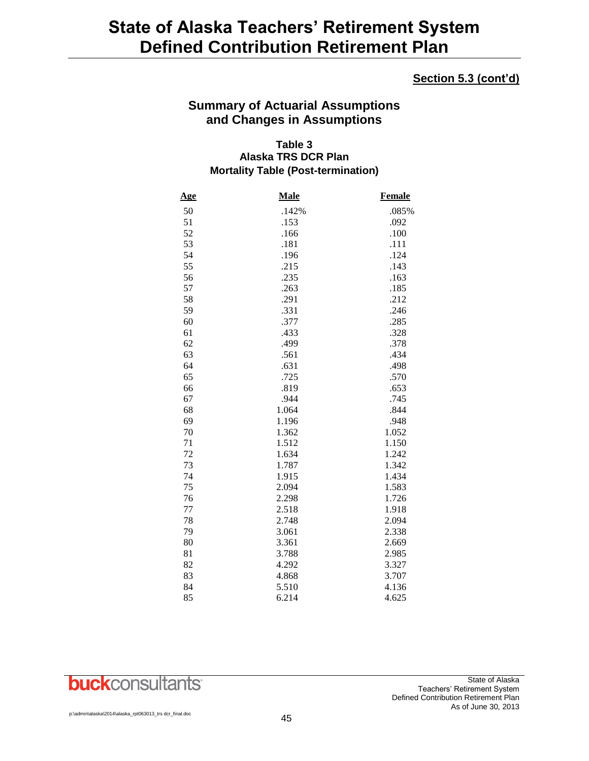## **Section 5.3 (cont'd)**

## **Summary of Actuarial Assumptions and Changes in Assumptions**

### **Table 3 Alaska TRS DCR Plan Mortality Table (Post-termination)**

| <u>Age</u> | <b>Male</b> | <b>Female</b> |
|------------|-------------|---------------|
| 50         | .142%       | .085%         |
| 51         | .153        | .092          |
| 52         | .166        | .100          |
| 53         | .181        | .111          |
| 54         | .196        | .124          |
| 55         | .215        | .143          |
| 56         | .235        | .163          |
| 57         | .263        | .185          |
| 58         | .291        | .212          |
| 59         | .331        | .246          |
| 60         | .377        | .285          |
| 61         | .433        | .328          |
| 62         | .499        | .378          |
| 63         | .561        | .434          |
| 64         | .631        | .498          |
| 65         | .725        | .570          |
| 66         | .819        | .653          |
| 67         | .944        | .745          |
| 68         | 1.064       | .844          |
| 69         | 1.196       | .948          |
| 70         | 1.362       | 1.052         |
| 71         | 1.512       | 1.150         |
| 72         | 1.634       | 1.242         |
| 73         | 1.787       | 1.342         |
| 74         | 1.915       | 1.434         |
| 75         | 2.094       | 1.583         |
| 76         | 2.298       | 1.726         |
| 77         | 2.518       | 1.918         |
| 78         | 2.748       | 2.094         |
| 79         | 3.061       | 2.338         |
| 80         | 3.361       | 2.669         |
| 81         | 3.788       | 2.985         |
| 82         | 4.292       | 3.327         |
| 83         | 4.868       | 3.707         |
| 84         | 5.510       | 4.136         |
| 85         | 6.214       | 4.625         |

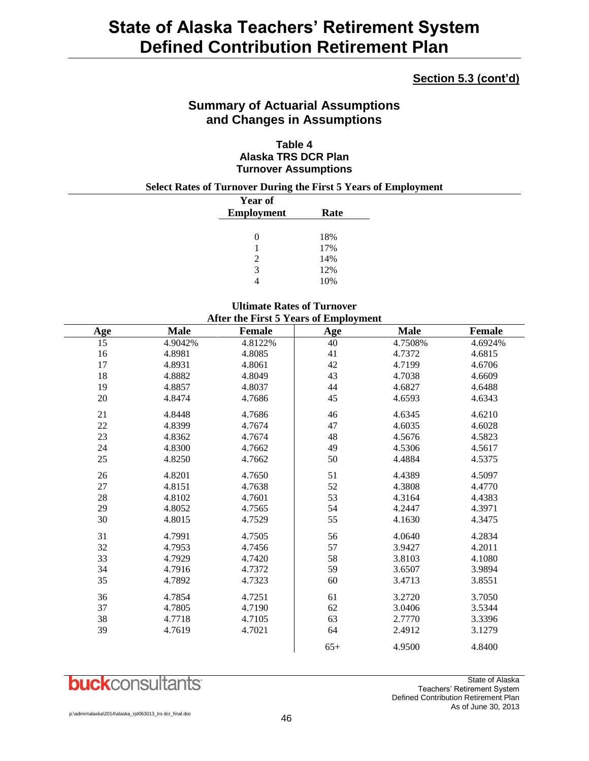## **Section 5.3 (cont'd)**

## **Summary of Actuarial Assumptions and Changes in Assumptions**

### **Table 4 Alaska TRS DCR Plan Turnover Assumptions**

**Select Rates of Turnover During the First 5 Years of Employment**

| <b>Year of</b> |      |
|----------------|------|
| Employment     | Rate |
|                |      |
| 0              | 18%  |
| 1              | 17%  |
| $\mathcal{L}$  | 14%  |
| 3              | 12%  |
|                | 10%  |

## **Ultimate Rates of Turnover**

|                 | After the First 5 Years of Employment |         |       |             |               |
|-----------------|---------------------------------------|---------|-------|-------------|---------------|
| <b>Age</b>      | <b>Male</b>                           | Female  | Age   | <b>Male</b> | <b>Female</b> |
| $\overline{15}$ | 4.9042%                               | 4.8122% | 40    | 4.7508%     | 4.6924%       |
| 16              | 4.8981                                | 4.8085  | 41    | 4.7372      | 4.6815        |
| 17              | 4.8931                                | 4.8061  | 42    | 4.7199      | 4.6706        |
| 18              | 4.8882                                | 4.8049  | 43    | 4.7038      | 4.6609        |
| 19              | 4.8857                                | 4.8037  | 44    | 4.6827      | 4.6488        |
| 20              | 4.8474                                | 4.7686  | 45    | 4.6593      | 4.6343        |
| 21              | 4.8448                                | 4.7686  | 46    | 4.6345      | 4.6210        |
| $22\,$          | 4.8399                                | 4.7674  | 47    | 4.6035      | 4.6028        |
| 23              | 4.8362                                | 4.7674  | 48    | 4.5676      | 4.5823        |
| 24              | 4.8300                                | 4.7662  | 49    | 4.5306      | 4.5617        |
| 25              | 4.8250                                | 4.7662  | 50    | 4.4884      | 4.5375        |
| 26              | 4.8201                                | 4.7650  | 51    | 4.4389      | 4.5097        |
| 27              | 4.8151                                | 4.7638  | 52    | 4.3808      | 4.4770        |
| $28\,$          | 4.8102                                | 4.7601  | 53    | 4.3164      | 4.4383        |
| 29              | 4.8052                                | 4.7565  | 54    | 4.2447      | 4.3971        |
| 30              | 4.8015                                | 4.7529  | 55    | 4.1630      | 4.3475        |
| 31              | 4.7991                                | 4.7505  | 56    | 4.0640      | 4.2834        |
| 32              | 4.7953                                | 4.7456  | 57    | 3.9427      | 4.2011        |
| 33              | 4.7929                                | 4.7420  | 58    | 3.8103      | 4.1080        |
| 34              | 4.7916                                | 4.7372  | 59    | 3.6507      | 3.9894        |
| 35              | 4.7892                                | 4.7323  | 60    | 3.4713      | 3.8551        |
| 36              | 4.7854                                | 4.7251  | 61    | 3.2720      | 3.7050        |
| 37              | 4.7805                                | 4.7190  | 62    | 3.0406      | 3.5344        |
| 38              | 4.7718                                | 4.7105  | 63    | 2.7770      | 3.3396        |
| 39              | 4.7619                                | 4.7021  | 64    | 2.4912      | 3.1279        |
|                 |                                       |         | $65+$ | 4.9500      | 4.8400        |

## **buck**consultants

State of Alaska Teachers' Retirement System Defined Contribution Retirement Plan As of June 30, 2013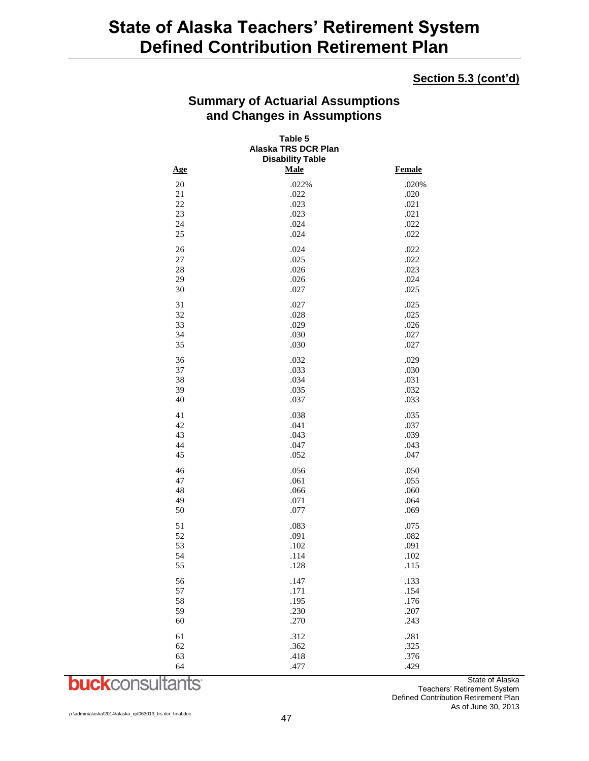### **Section 5.3 (cont'd)**

## **Summary of Actuarial Assumptions and Changes in Assumptions**

| Table 5<br>Alaska TRS DCR Plan<br><b>Disability Table</b> |       |               |  |
|-----------------------------------------------------------|-------|---------------|--|
| Age                                                       | Male  | <b>Female</b> |  |
| 20                                                        | .022% | .020%         |  |
| 21                                                        | .022  | .020          |  |
| 22                                                        | .023  | .021          |  |
| 23                                                        | .023  | .021          |  |
| 24                                                        | .024  | .022          |  |
| 25                                                        | .024  | .022          |  |
| 26                                                        | .024  | .022          |  |
| $27\,$                                                    | .025  | .022          |  |
| 28                                                        | .026  | .023          |  |
| 29                                                        | .026  | .024          |  |
| 30                                                        | .027  | .025          |  |
| 31                                                        | .027  | .025          |  |
| 32                                                        | .028  | .025          |  |
| 33                                                        | .029  | .026          |  |
| 34                                                        | .030  | .027          |  |
| 35                                                        | .030  | .027          |  |
| 36                                                        | .032  | .029          |  |
| 37                                                        | .033  | .030          |  |
| 38                                                        | .034  | .031          |  |
| 39                                                        | .035  | .032          |  |
| 40                                                        | .037  | .033          |  |
| 41                                                        | .038  | .035          |  |
| 42                                                        | .041  | .037          |  |
| 43                                                        | .043  | .039          |  |
| 44                                                        | .047  | .043          |  |
| 45                                                        | .052  | .047          |  |
| 46                                                        | .056  | .050          |  |
| 47                                                        | .061  | .055          |  |
| 48                                                        | .066  | .060          |  |
| 49                                                        | .071  | .064          |  |
| 50                                                        | .077  | .069          |  |
| 51                                                        | .083  | .075          |  |
| 52                                                        | .091  | .082          |  |
| 53                                                        | .102  | .091          |  |
| 54                                                        | .114  | .102          |  |
| 55                                                        | .128  | .115          |  |
| 56                                                        | .147  | .133          |  |
| 57                                                        | .171  | .154          |  |
| 58                                                        | .195  | .176          |  |
| 59                                                        | .230  | .207          |  |
| 60                                                        | .270  | .243          |  |
| 61                                                        | .312  | .281          |  |
| 62                                                        | .362  | .325          |  |
| 63                                                        | .418  | .376          |  |
| 64                                                        | .477  | .429          |  |

**buck**consultants

State of Alaska Teachers' Retirement System Defined Contribution Retirement Plan As of June 30, 2013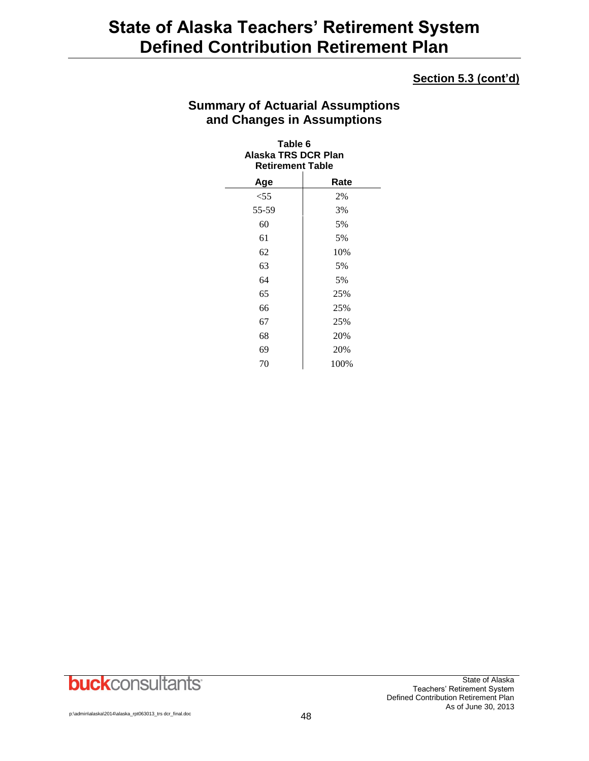## **Section 5.3 (cont'd)**

## **Summary of Actuarial Assumptions and Changes in Assumptions**

### **Table 6 Alaska TRS DCR Plan Retirement Table**

| Age    | Rate |
|--------|------|
| $<$ 55 | 2%   |
| 55-59  | 3%   |
| 60     | 5%   |
| 61     | 5%   |
| 62     | 10%  |
| 63     | 5%   |
| 64     | 5%   |
| 65     | 25%  |
| 66     | 25%  |
| 67     | 25%  |
| 68     | 20%  |
| 69     | 20%  |
| 70     | 100% |

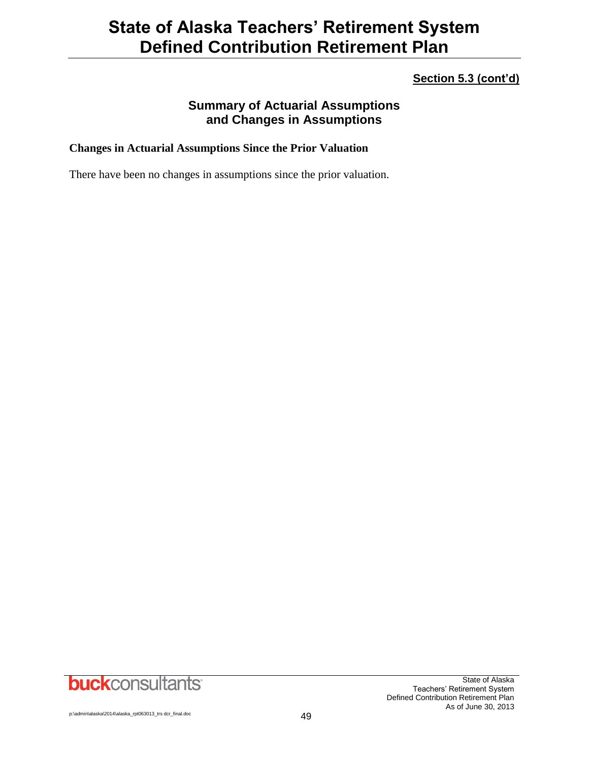## **Section 5.3 (cont'd)**

## **Summary of Actuarial Assumptions and Changes in Assumptions**

### **Changes in Actuarial Assumptions Since the Prior Valuation**

There have been no changes in assumptions since the prior valuation.